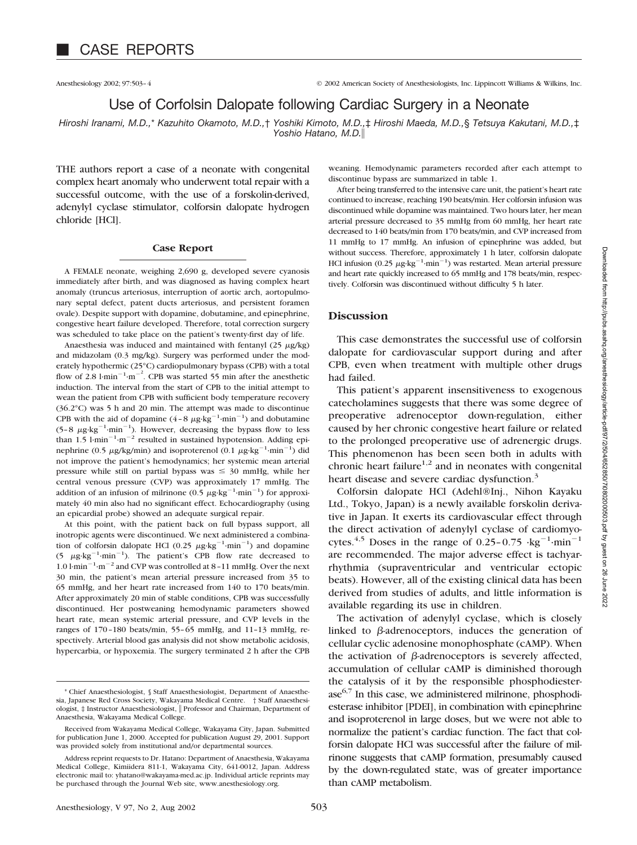Anesthesiology 2002; 97:503–4 © 2002 American Society of Anesthesiologists, Inc. Lippincott Williams & Wilkins, Inc.

# Use of Corfolsin Dalopate following Cardiac Surgery in a Neonate

*Hiroshi Iranami, M.D.,*\* *Kazuhito Okamoto, M.D.,*† *Yoshiki Kimoto, M.D.,*‡ *Hiroshi Maeda, M.D.,*§ *Tetsuya Kakutani, M.D.,*‡ *Yoshio Hatano, M.D.*

THE authors report a case of a neonate with congenital complex heart anomaly who underwent total repair with a successful outcome, with the use of a forskolin-derived, adenylyl cyclase stimulator, colforsin dalopate hydrogen chloride [HCl].

## **Case Report**

A FEMALE neonate, weighing 2,690 g, developed severe cyanosis immediately after birth, and was diagnosed as having complex heart anomaly (truncus arteriosus, interruption of aortic arch, aortopulmonary septal defect, patent ducts arteriosus, and persistent foramen ovale). Despite support with dopamine, dobutamine, and epinephrine, congestive heart failure developed. Therefore, total correction surgery was scheduled to take place on the patient's twenty-first day of life.

Anaesthesia was induced and maintained with fentanyl  $(25 \mu g/kg)$ and midazolam (0.3 mg/kg). Surgery was performed under the moderately hypothermic (25°C) cardiopulmonary bypass (CPB) with a total flow of 2.8  $1$ ·min<sup>-1</sup>·m<sup>-2</sup>. CPB was started 55 min after the anesthetic induction. The interval from the start of CPB to the initial attempt to wean the patient from CPB with sufficient body temperature recovery (36.2°C) was 5 h and 20 min. The attempt was made to discontinue CPB with the aid of dopamine  $(4-8 \mu g \cdot kg^{-1} \cdot min^{-1})$  and dobutamine  $(5-8 \mu g \cdot kg^{-1} \cdot min^{-1})$ . However, decreasing the bypass flow to less than  $1.5$  l·min<sup>-1</sup>·m<sup>-2</sup> resulted in sustained hypotension. Adding epinephrine (0.5  $\mu$ g/kg/min) and isoproterenol (0.1  $\mu$ g·kg<sup>-1</sup>·min<sup>-1</sup>) did not improve the patient's hemodynamics; her systemic mean arterial pressure while still on partial bypass was  $\leq 30$  mmHg, while her central venous pressure (CVP) was approximately 17 mmHg. The addition of an infusion of milrinone (0.5  $\mu$ g·kg<sup>-1</sup>·min<sup>-1</sup>) for approximately 40 min also had no significant effect. Echocardiography (using an epicardial probe) showed an adequate surgical repair.

At this point, with the patient back on full bypass support, all inotropic agents were discontinued. We next administered a combination of colforsin dalopate HCl (0.25  $\mu$ g·kg<sup>-1</sup>·min<sup>-1</sup>) and dopamine (5  $\mu$ g·kg<sup>-1</sup>·min<sup>-1</sup>). The patient's CPB flow rate decreased to  $1.01$ ·min<sup>-1</sup>·m<sup>-2</sup> and CVP was controlled at 8-11 mmHg. Over the next 30 min, the patient's mean arterial pressure increased from 35 to 65 mmHg, and her heart rate increased from 140 to 170 beats/min. After approximately 20 min of stable conditions, CPB was successfully discontinued. Her postweaning hemodynamic parameters showed heart rate, mean systemic arterial pressure, and CVP levels in the ranges of 170–180 beats/min, 55–65 mmHg, and 11–13 mmHg, respectively. Arterial blood gas analysis did not show metabolic acidosis, hypercarbia, or hypoxemia. The surgery terminated 2 h after the CPB weaning. Hemodynamic parameters recorded after each attempt to discontinue bypass are summarized in table 1.

After being transferred to the intensive care unit, the patient's heart rate continued to increase, reaching 190 beats/min. Her colforsin infusion was discontinued while dopamine was maintained. Two hours later, her mean arterial pressure decreased to 35 mmHg from 60 mmHg, her heart rate decreased to 140 beats/min from 170 beats/min, and CVP increased from 11 mmHg to 17 mmHg. An infusion of epinephrine was added, but without success. Therefore, approximately 1 h later, colforsin dalopate HCl infusion (0.25  $\mu$ g·kg<sup>-1</sup>·min<sup>-1</sup>) was restarted. Mean arterial pressure and heart rate quickly increased to 65 mmHg and 178 beats/min, respectively. Colforsin was discontinued without difficulty 5 h later.

## **Discussion**

This case demonstrates the successful use of colforsin dalopate for cardiovascular support during and after CPB, even when treatment with multiple other drugs had failed.

This patient's apparent insensitiveness to exogenous catecholamines suggests that there was some degree of preoperative adrenoceptor down-regulation, either caused by her chronic congestive heart failure or related to the prolonged preoperative use of adrenergic drugs. This phenomenon has been seen both in adults with chronic heart failure<sup>1,2</sup> and in neonates with congenital heart disease and severe cardiac dysfunction.<sup>3</sup>

Colforsin dalopate HCl (Adehl®Inj., Nihon Kayaku Ltd., Tokyo, Japan) is a newly available forskolin derivative in Japan. It exerts its cardiovascular effect through the direct activation of adenylyl cyclase of cardiomyocytes.<sup>4,5</sup> Doses in the range of 0.25-0.75  $\cdot$ kg<sup>-1</sup> $\cdot$ min<sup>-1</sup> are recommended. The major adverse effect is tachyarrhythmia (supraventricular and ventricular ectopic beats). However, all of the existing clinical data has been derived from studies of adults, and little information is available regarding its use in children.

The activation of adenylyl cyclase, which is closely linked to  $\beta$ -adrenoceptors, induces the generation of cellular cyclic adenosine monophosphate (cAMP). When the activation of  $\beta$ -adrenoceptors is severely affected, accumulation of cellular cAMP is diminished thorough the catalysis of it by the responsible phosphodiesterase $6,7$  In this case, we administered milrinone, phosphodiesterase inhibitor [PDEI], in combination with epinephrine and isoproterenol in large doses, but we were not able to normalize the patient's cardiac function. The fact that colforsin dalopate HCl was successful after the failure of milrinone suggests that cAMP formation, presumably caused by the down-regulated state, was of greater importance than cAMP metabolism.

<sup>\*</sup> Chief Anaesthesiologist, § Staff Anaesthesiologist, Department of Anaesthesia, Japanese Red Cross Society, Wakayama Medical Centre. † Staff Anaesthesiologist, ‡ Instructor Anaesthesiologist, Professor and Chairman, Department of Anaesthesia, Wakayama Medical College.

Received from Wakayama Medical College, Wakayama City, Japan. Submitted for publication June 1, 2000. Accepted for publication August 29, 2001. Support was provided solely from institutional and/or departmental sources.

Address reprint requests to Dr. Hatano: Department of Anaesthesia, Wakayama Medical College, Kimiidera 811-1, Wakayama City, 641-0012, Japan. Address electronic mail to: yhatano@wakayama-med.ac.jp. Individual article reprints may be purchased through the Journal Web site, www.anesthesiology.org.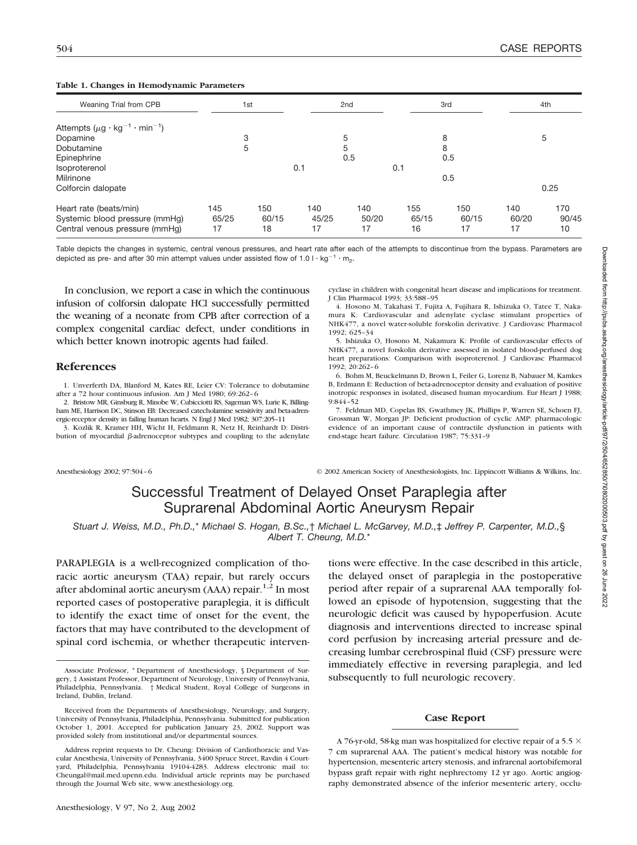### **Table 1. Changes in Hemodynamic Parameters**

| Weaning Trial from CPB                          |       | 1st   |       | 2 <sub>nd</sub> |       | 3rd   |       | 4th   |
|-------------------------------------------------|-------|-------|-------|-----------------|-------|-------|-------|-------|
| Attempts $(\mu g \cdot kg^{-1} \cdot min^{-1})$ |       |       |       |                 |       |       |       |       |
| Dopamine                                        |       | 3     |       | 5               |       | 8     |       | 5     |
| Dobutamine                                      |       | 5     |       | 5               |       | 8     |       |       |
| Epinephrine                                     |       |       |       | 0.5             |       | 0.5   |       |       |
| Isoproterenol                                   |       |       | 0.1   |                 | 0.1   |       |       |       |
| Milrinone                                       |       |       |       |                 |       | 0.5   |       |       |
| Colforcin dalopate                              |       |       |       |                 |       |       |       | 0.25  |
| Heart rate (beats/min)                          | 145   | 150   | 140   | 140             | 155   | 150   | 140   | 170   |
| Systemic blood pressure (mmHg)                  | 65/25 | 60/15 | 45/25 | 50/20           | 65/15 | 60/15 | 60/20 | 90/45 |
| Central venous pressure (mmHa)                  | 17    | 18    | 17    | 17              | 16    | 17    | 17    | 10    |

Table depicts the changes in systemic, central venous pressures, and heart rate after each of the attempts to discontinue from the bypass. Parameters are depicted as pre- and after 30 min attempt values under assisted flow of 1.0 l  $\cdot$  kg<sup>-1</sup>  $\cdot$  m<sub>2</sub>.

In conclusion, we report a case in which the continuous infusion of colforsin dalopate HCl successfully permitted the weaning of a neonate from CPB after correction of a complex congenital cardiac defect, under conditions in which better known inotropic agents had failed.

## **References**

1. Unverferth DA, Blanford M, Kates RE, Leier CV: Tolerance to dobutamine after a 72 hour continuous infusion. Am J Med 1980; 69:262–6

2. Bristow MR, Ginsburg R, Minobe W, Cubicciotti RS, Sageman WS, Lurie K, Billingham ME, Harrison DC, Stinson EB: Decreased catecholamine sensitivity and beta-adrenergic-receptor density in failing human hearts. N Engl J Med 1982; 307:205–11

3. Kozlik R, Kramer HH, Wicht H, Feldmann R, Netz H, Reinhardt D: Distribution of myocardial  $\beta$ -adrenoceptor subtypes and coupling to the adenylate

cyclase in children with congenital heart disease and implications for treatment. J Clin Pharmacol 1993; 33:588–95

4. Hosono M, Takahasi T, Fujita A, Fujihara R, Ishizuka O, Tatee T, Nakamura K: Cardiovascular and adenylate cyclase stimulant properties of NHK477, a novel water-soluble forskolin derivative. J Cardiovasc Pharmacol 1992; 625–34

5. Ishizuka O, Hosono M, Nakamura K: Profile of cardiovascular effects of NHK477, a novel forskolin derivative assessed in isolated blood-perfused dog heart preparations: Comparison with isoproterenol. J Cardiovasc Pharmacol 1992; 20:262–6

6. Bohm M, Beuckelmann D, Brown L, Feiler G, Lorenz B, Nabauer M, Kamkes B, Erdmann E: Reduction of beta-adrenoceptor density and evaluation of positive inotropic responses in isolated, diseased human myocardium. Eur Heart J 1988; 9:844–52

7. Feldman MD, Copelas BS, Gwathmey JK, Phillips P, Warren SE, Schoen FJ, Grossman W, Morgan JP: Deficient production of cyclic AMP: pharmacologic evidence of an important cause of contractile dysfunction in patients with end-stage heart failure. Circulation 1987; 75:331–9

Anesthesiology 2002; 97:504–6 © 2002 American Society of Anesthesiologists, Inc. Lippincott Williams & Wilkins, Inc.

# Successful Treatment of Delayed Onset Paraplegia after Suprarenal Abdominal Aortic Aneurysm Repair

*Stuart J. Weiss, M.D., Ph.D.,*\* *Michael S. Hogan, B.Sc.,*† *Michael L. McGarvey, M.D.,*‡ *Jeffrey P. Carpenter, M.D.,*§ *Albert T. Cheung, M.D.*\*

PARAPLEGIA is a well-recognized complication of thoracic aortic aneurysm (TAA) repair, but rarely occurs after abdominal aortic aneurysm (AAA) repair. $1,2$  In most reported cases of postoperative paraplegia, it is difficult to identify the exact time of onset for the event, the factors that may have contributed to the development of spinal cord ischemia, or whether therapeutic interventions were effective. In the case described in this article, the delayed onset of paraplegia in the postoperative period after repair of a suprarenal AAA temporally followed an episode of hypotension, suggesting that the neurologic deficit was caused by hypoperfusion. Acute diagnosis and interventions directed to increase spinal cord perfusion by increasing arterial pressure and decreasing lumbar cerebrospinal fluid (CSF) pressure were immediately effective in reversing paraplegia, and led subsequently to full neurologic recovery.

#### **Case Report**

A 76-yr-old, 58-kg man was hospitalized for elective repair of a 5.5  $\times$ 7 cm suprarenal AAA. The patient's medical history was notable for hypertension, mesenteric artery stenosis, and infrarenal aortobifemoral bypass graft repair with right nephrectomy 12 yr ago. Aortic angiography demonstrated absence of the inferior mesenteric artery, occlu-

Associate Professor, \* Department of Anesthesiology, § Department of Surgery, ‡ Assistant Professor, Department of Neurology, University of Pennsylvania, Philadelphia, Pennsylvania. † Medical Student, Royal College of Surgeons in Ireland, Dublin, Ireland.

Received from the Departments of Anesthesiology, Neurology, and Surgery, University of Pennsylvania, Philadelphia, Pennsylvania. Submitted for publication October 1, 2001. Accepted for publication January 23, 2002. Support was provided solely from institutional and/or departmental sources.

Address reprint requests to Dr. Cheung: Division of Cardiothoracic and Vascular Anesthesia, University of Pennsylvania, 3400 Spruce Street, Ravdin 4 Courtyard, Philadelphia, Pennsylvania 19104-4283. Address electronic mail to: Cheungal@mail.med.upenn.edu. Individual article reprints may be purchased through the Journal Web site, www.anesthesiology.org.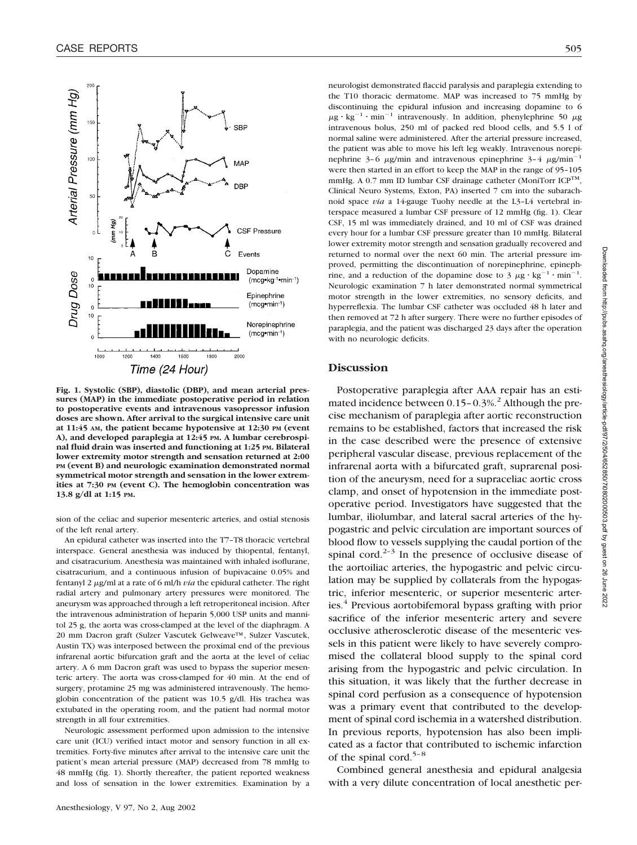

**Fig. 1. Systolic (SBP), diastolic (DBP), and mean arterial pressures (MAP) in the immediate postoperative period in relation to postoperative events and intravenous vasopressor infusion doses are shown. After arrival to the surgical intensive care unit at 11:45 AM, the patient became hypotensive at 12:30 PM (event A), and developed paraplegia at 12:45 PM. A lumbar cerebrospinal fluid drain was inserted and functioning at 1:25 PM. Bilateral lower extremity motor strength and sensation returned at 2:00 PM (event B) and neurologic examination demonstrated normal symmetrical motor strength and sensation in the lower extremities at 7:30 PM (event C). The hemoglobin concentration was 13.8 g/dl at 1:15 PM.**

sion of the celiac and superior mesenteric arteries, and ostial stenosis of the left renal artery.

An epidural catheter was inserted into the T7–T8 thoracic vertebral interspace. General anesthesia was induced by thiopental, fentanyl, and cisatracurium. Anesthesia was maintained with inhaled isoflurane, cisatracurium, and a continuous infusion of bupivacaine 0.05% and fentanyl 2  $\mu$ g/ml at a rate of 6 ml/h *via* the epidural catheter. The right radial artery and pulmonary artery pressures were monitored. The aneurysm was approached through a left retroperitoneal incision. After the intravenous administration of heparin 5,000 USP units and mannitol 25 g, the aorta was cross-clamped at the level of the diaphragm. A 20 mm Dacron graft (Sulzer Vascutek Gelweave™, Sulzer Vascutek, Austin TX) was interposed between the proximal end of the previous infrarenal aortic bifurcation graft and the aorta at the level of celiac artery. A 6 mm Dacron graft was used to bypass the superior mesenteric artery. The aorta was cross-clamped for 40 min. At the end of surgery, protamine 25 mg was administered intravenously. The hemoglobin concentration of the patient was 10.5 g/dl. His trachea was extubated in the operating room, and the patient had normal motor strength in all four extremities.

Neurologic assessment performed upon admission to the intensive care unit (ICU) verified intact motor and sensory function in all extremities. Forty-five minutes after arrival to the intensive care unit the patient's mean arterial pressure (MAP) decreased from 78 mmHg to 48 mmHg (fig. 1). Shortly thereafter, the patient reported weakness and loss of sensation in the lower extremities. Examination by a

neurologist demonstrated flaccid paralysis and paraplegia extending to the T10 thoracic dermatome. MAP was increased to 75 mmHg by discontinuing the epidural infusion and increasing dopamine to 6  $\mu$ g · kg<sup>-1</sup> · min<sup>-1</sup> intravenously. In addition, phenylephrine 50  $\mu$ g intravenous bolus, 250 ml of packed red blood cells, and 5.5 l of normal saline were administered. After the arterial pressure increased, the patient was able to move his left leg weakly. Intravenous norepinephrine 3-6  $\mu$ g/min and intravenous epinephrine 3-4  $\mu$ g/min<sup>-1</sup> were then started in an effort to keep the MAP in the range of 95–105 mmHg. A 0.7 mm ID lumbar CSF drainage catheter (MoniTorr  $ICP^{TM}$ , Clinical Neuro Systems, Exton, PA) inserted 7 cm into the subarachnoid space *via* a 14-gauge Tuohy needle at the L3–L4 vertebral interspace measured a lumbar CSF pressure of 12 mmHg (fig. 1). Clear CSF, 15 ml was immediately drained, and 10 ml of CSF was drained every hour for a lumbar CSF pressure greater than 10 mmHg. Bilateral lower extremity motor strength and sensation gradually recovered and returned to normal over the next 60 min. The arterial pressure improved, permitting the discontinuation of norepinephrine, epinephrine, and a reduction of the dopamine dose to 3  $\mu$ g · kg<sup>-1</sup> · min<sup>-1</sup>. Neurologic examination 7 h later demonstrated normal symmetrical motor strength in the lower extremities, no sensory deficits, and hyperreflexia. The lumbar CSF catheter was occluded 48 h later and then removed at 72 h after surgery. There were no further episodes of paraplegia, and the patient was discharged 23 days after the operation with no neurologic deficits.

## **Discussion**

Postoperative paraplegia after AAA repair has an estimated incidence between  $0.15 - 0.3\%$ <sup>2</sup> Although the precise mechanism of paraplegia after aortic reconstruction remains to be established, factors that increased the risk in the case described were the presence of extensive peripheral vascular disease, previous replacement of the infrarenal aorta with a bifurcated graft, suprarenal position of the aneurysm, need for a supraceliac aortic cross clamp, and onset of hypotension in the immediate postoperative period. Investigators have suggested that the lumbar, iliolumbar, and lateral sacral arteries of the hypogastric and pelvic circulation are important sources of blood flow to vessels supplying the caudal portion of the spinal cord.<sup>2–3</sup> In the presence of occlusive disease of the aortoiliac arteries, the hypogastric and pelvic circulation may be supplied by collaterals from the hypogastric, inferior mesenteric, or superior mesenteric arteries.<sup>4</sup> Previous aortobifemoral bypass grafting with prior sacrifice of the inferior mesenteric artery and severe occlusive atherosclerotic disease of the mesenteric vessels in this patient were likely to have severely compromised the collateral blood supply to the spinal cord arising from the hypogastric and pelvic circulation. In this situation, it was likely that the further decrease in spinal cord perfusion as a consequence of hypotension was a primary event that contributed to the development of spinal cord ischemia in a watershed distribution. In previous reports, hypotension has also been implicated as a factor that contributed to ischemic infarction of the spinal cord.<sup>5-8</sup>

Combined general anesthesia and epidural analgesia with a very dilute concentration of local anesthetic per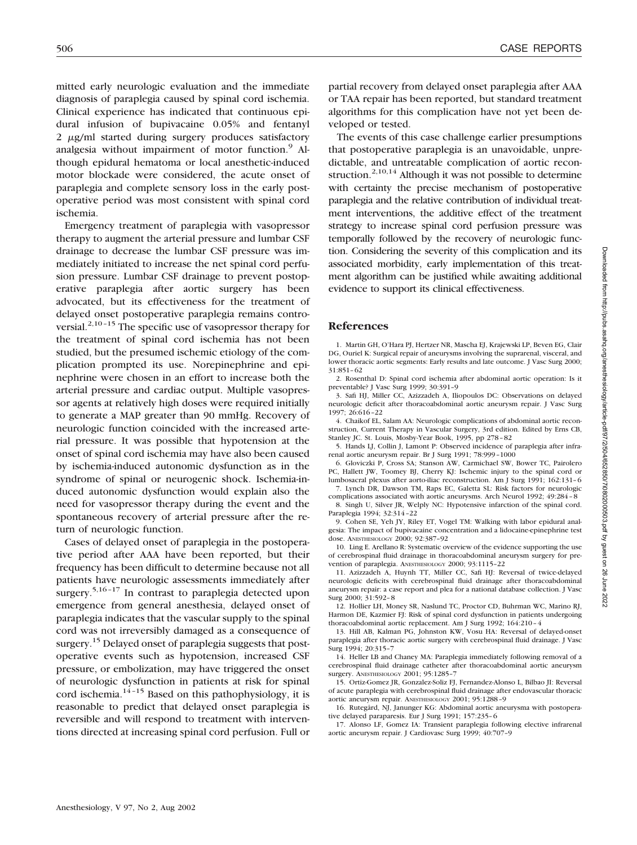mitted early neurologic evaluation and the immediate diagnosis of paraplegia caused by spinal cord ischemia. Clinical experience has indicated that continuous epidural infusion of bupivacaine 0.05% and fentanyl  $2 \mu g/ml$  started during surgery produces satisfactory analgesia without impairment of motor function.<sup>9</sup> Although epidural hematoma or local anesthetic-induced motor blockade were considered, the acute onset of paraplegia and complete sensory loss in the early postoperative period was most consistent with spinal cord ischemia.

Emergency treatment of paraplegia with vasopressor therapy to augment the arterial pressure and lumbar CSF drainage to decrease the lumbar CSF pressure was immediately initiated to increase the net spinal cord perfusion pressure. Lumbar CSF drainage to prevent postoperative paraplegia after aortic surgery has been advocated, but its effectiveness for the treatment of delayed onset postoperative paraplegia remains controversial.<sup>2,10–15</sup> The specific use of vasopressor therapy for the treatment of spinal cord ischemia has not been studied, but the presumed ischemic etiology of the complication prompted its use. Norepinephrine and epinephrine were chosen in an effort to increase both the arterial pressure and cardiac output. Multiple vasopressor agents at relatively high doses were required initially to generate a MAP greater than 90 mmHg. Recovery of neurologic function coincided with the increased arterial pressure. It was possible that hypotension at the onset of spinal cord ischemia may have also been caused by ischemia-induced autonomic dysfunction as in the syndrome of spinal or neurogenic shock. Ischemia-induced autonomic dysfunction would explain also the need for vasopressor therapy during the event and the spontaneous recovery of arterial pressure after the return of neurologic function.

Cases of delayed onset of paraplegia in the postoperative period after AAA have been reported, but their frequency has been difficult to determine because not all patients have neurologic assessments immediately after surgery.<sup>5,16-17</sup> In contrast to paraplegia detected upon emergence from general anesthesia, delayed onset of paraplegia indicates that the vascular supply to the spinal cord was not irreversibly damaged as a consequence of surgery.<sup>15</sup> Delayed onset of paraplegia suggests that postoperative events such as hypotension, increased CSF pressure, or embolization, may have triggered the onset of neurologic dysfunction in patients at risk for spinal cord ischemia.<sup>14-15</sup> Based on this pathophysiology, it is reasonable to predict that delayed onset paraplegia is reversible and will respond to treatment with interventions directed at increasing spinal cord perfusion. Full or partial recovery from delayed onset paraplegia after AAA or TAA repair has been reported, but standard treatment algorithms for this complication have not yet been developed or tested.

The events of this case challenge earlier presumptions that postoperative paraplegia is an unavoidable, unpredictable, and untreatable complication of aortic reconstruction.<sup>2,10,14</sup> Although it was not possible to determine with certainty the precise mechanism of postoperative paraplegia and the relative contribution of individual treatment interventions, the additive effect of the treatment strategy to increase spinal cord perfusion pressure was temporally followed by the recovery of neurologic function. Considering the severity of this complication and its associated morbidity, early implementation of this treatment algorithm can be justified while awaiting additional evidence to support its clinical effectiveness.

## **References**

1. Martin GH, O'Hara PJ, Hertzer NR, Mascha EJ, Krajewski LP, Beven EG, Clair DG, Ouriel K: Surgical repair of aneurysms involving the suprarenal, visceral, and lower thoracic aortic segments: Early results and late outcome. J Vasc Surg 2000; 31:851–62

2. Rosenthal D: Spinal cord ischemia after abdominal aortic operation: Is it preventable? J Vasc Surg 1999; 30:391–9

3. Safi HJ, Miller CC, Azizzadeh A, Iliopoulos DC: Observations on delayed neurologic deficit after thoracoabdominal aortic aneurysm repair. J Vasc Surg 1997; 26:616–22

4. Chaikof EL, Salam AA: Neurologic complications of abdominal aortic reconstruction, Current Therapy in Vascular Surgery, 3rd edition. Edited by Erns CB, Stanley JC. St. Louis, Mosby-Year Book, 1995, pp 278–82

5. Hands LJ, Collin J, Lamont P: Observed incidence of paraplegia after infrarenal aortic aneurysm repair. Br J Surg 1991; 78:999–1000

6. Gloviczki P, Cross SA; Stanson AW, Carmichael SW, Bower TC, Pairolero PC, Hallett JW, Toomey BJ, Cherry KJ: Ischemic injury to the spinal cord or lumbosacral plexus after aorto-iliac reconstruction. Am J Surg 1991; 162:131–6

7. Lynch DR, Dawson TM, Raps EC, Galetta SL: Risk factors for neurologic complications associated with aortic aneurysms. Arch Neurol 1992; 49:284–8 8. Singh U, Silver JR, Welply NC: Hypotensive infarction of the spinal cord.

Paraplegia 1994; 32:314–22 9. Cohen SE, Yeh JY, Riley ET, Vogel TM: Walking with labor epidural analgesia: The impact of bupivacaine concentration and a lidocaine-epinephrine test dose. ANESTHESIOLOGY 2000; 92:387–92

10. Ling E. Arellano R: Systematic overview of the evidence supporting the use of cerebrospinal fluid drainage in thoracoabdominal aneurysm surgery for prevention of paraplegia. ANESTHESIOLOGY 2000; 93:1115–22

11. Azizzadeh A, Huynh TT, Miller CC, Safi HJ: Reversal of twice-delayed neurologic deficits with cerebrospinal fluid drainage after thoracoabdominal aneurysm repair: a case report and plea for a national database collection. J Vasc Surg 2000; 31:592–8

12. Hollier LH, Money SR, Naslund TC, Proctor CD, Buhrman WC, Marino RJ, Harmon DE, Kazmier FJ: Risk of spinal cord dysfunction in patients undergoing thoracoabdominal aortic replacement. Am J Surg 1992; 164:210–4

13. Hill AB, Kalman PG, Johnston KW, Vosu HA: Reversal of delayed-onset paraplegia after thoracic aortic surgery with cerebrospinal fluid drainage. J Vasc Surg 1994; 20:315–7

14. Heller LB and Chaney MA: Paraplegia immediately following removal of a cerebrospinal fluid drainage catheter after thoracoabdominal aortic aneurysm surgery. ANESTHESIOLOGY 2001; 95:1285–7

15. Ortiz-Gomez JR, Gonzalez-Soliz FJ, Fernandez-Alonso L, Bilbao JI: Reversal of acute paraplegia with cerebrospinal fluid drainage after endovascular thoracic aortic aneurysm repair. ANESTHESIOLOGY 2001; 95:1288–9

16. Rutegård, NJ, Janunger KG: Abdominal aortic aneurysma with postoperative delayed paraparesis. Eur J Surg 1991; 157:235–6

17. Alonso LF, Gomez IA: Transient paraplegia following elective infrarenal aortic aneurysm repair. J Cardiovasc Surg 1999; 40:707–9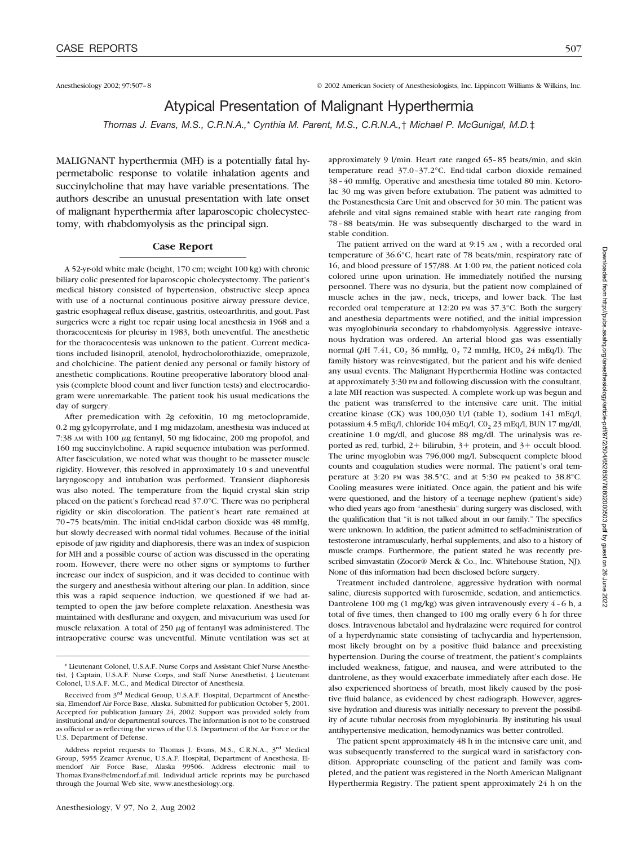Anesthesiology 2002; 97:507–8 © 2002 American Society of Anesthesiologists, Inc. Lippincott Williams & Wilkins, Inc.

# Atypical Presentation of Malignant Hyperthermia

*Thomas J. Evans, M.S., C.R.N.A.,*\* *Cynthia M. Parent, M.S., C.R.N.A.,*† *Michael P. McGunigal, M.D.*‡

MALIGNANT hyperthermia (MH) is a potentially fatal hypermetabolic response to volatile inhalation agents and succinylcholine that may have variable presentations. The authors describe an unusual presentation with late onset of malignant hyperthermia after laparoscopic cholecystectomy, with rhabdomyolysis as the principal sign.

### **Case Report**

A 52-yr-old white male (height, 170 cm; weight 100 kg) with chronic biliary colic presented for laparoscopic cholecystectomy. The patient's medical history consisted of hypertension, obstructive sleep apnea with use of a nocturnal continuous positive airway pressure device, gastric esophageal reflux disease, gastritis, osteoarthritis, and gout. Past surgeries were a right toe repair using local anesthesia in 1968 and a thoracocentesis for pleurisy in 1983, both uneventful. The anesthetic for the thoracocentesis was unknown to the patient. Current medications included lisinopril, atenolol, hydrocholorothiazide, omeprazole, and cholchicine. The patient denied any personal or family history of anesthetic complications. Routine preoperative laboratory blood analysis (complete blood count and liver function tests) and electrocardiogram were unremarkable. The patient took his usual medications the day of surgery.

After premedication with 2g cefoxitin, 10 mg metoclopramide, 0.2 mg gylcopyrrolate, and 1 mg midazolam, anesthesia was induced at  $7:38$  AM with 100  $\mu$ g fentanyl, 50 mg lidocaine, 200 mg propofol, and 160 mg succinylcholine. A rapid sequence intubation was performed. After fasciculation, we noted what was thought to be masseter muscle rigidity. However, this resolved in approximately 10 s and uneventful laryngoscopy and intubation was performed. Transient diaphoresis was also noted. The temperature from the liquid crystal skin strip placed on the patient's forehead read 37.0°C. There was no peripheral rigidity or skin discoloration. The patient's heart rate remained at 70–75 beats/min. The initial end-tidal carbon dioxide was 48 mmHg, but slowly decreased with normal tidal volumes. Because of the initial episode of jaw rigidity and diaphoresis, there was an index of suspicion for MH and a possible course of action was discussed in the operating room. However, there were no other signs or symptoms to further increase our index of suspicion, and it was decided to continue with the surgery and anesthesia without altering our plan. In addition, since this was a rapid sequence induction, we questioned if we had attempted to open the jaw before complete relaxation. Anesthesia was maintained with desflurane and oxygen, and mivacurium was used for muscle relaxation. A total of 250  $\mu$ g of fentanyl was administered. The intraoperative course was uneventful. Minute ventilation was set at

approximately 9 l/min. Heart rate ranged 65–85 beats/min, and skin temperature read 37.0–37.2°C. End-tidal carbon dioxide remained 38–40 mmHg. Operative and anesthesia time totaled 80 min. Ketorolac 30 mg was given before extubation. The patient was admitted to the Postanesthesia Care Unit and observed for 30 min. The patient was afebrile and vital signs remained stable with heart rate ranging from 78–88 beats/min. He was subsequently discharged to the ward in stable condition.

The patient arrived on the ward at 9:15 AM , with a recorded oral temperature of 36.6°C, heart rate of 78 beats/min, respiratory rate of 16, and blood pressure of 157/88. At 1:00 PM, the patient noticed cola colored urine upon urination. He immediately notified the nursing personnel. There was no dysuria, but the patient now complained of muscle aches in the jaw, neck, triceps, and lower back. The last recorded oral temperature at 12:20 PM was 37.3°C. Both the surgery and anesthesia departments were notified, and the initial impression was myoglobinuria secondary to rhabdomyolysis. Aggressive intravenous hydration was ordered. An arterial blood gas was essentially normal (pH 7.41, CO<sub>2</sub> 36 mmHg, O<sub>2</sub> 72 mmHg, HCO<sub>3</sub> 24 mEq/l). The family history was reinvestigated, but the patient and his wife denied any usual events. The Malignant Hyperthermia Hotline was contacted at approximately 3:30 PM and following discussion with the consultant, a late MH reaction was suspected. A complete work-up was begun and the patient was transferred to the intensive care unit. The initial creatine kinase (CK) was 100,030 U/l (table 1), sodium 141 mEq/l, potassium 4.5 mEq/l, chloride 104 mEq/l,  $CO<sub>2</sub>$  23 mEq/l, BUN 17 mg/dl, creatinine 1.0 mg/dl, and glucose 88 mg/dl. The urinalysis was reported as red, turbid,  $2+$  bilirubin,  $3+$  protein, and  $3+$  occult blood. The urine myoglobin was 796,000 mg/l. Subsequent complete blood counts and coagulation studies were normal. The patient's oral temperature at 3:20 PM was 38.5°C, and at 5:30 PM peaked to 38.8°C. Cooling measures were initiated. Once again, the patient and his wife were questioned, and the history of a teenage nephew (patient's side) who died years ago from "anesthesia" during surgery was disclosed, with the qualification that "it is not talked about in our family." The specifics were unknown. In addition, the patient admitted to self-administration of testosterone intramuscularly, herbal supplements, and also to a history of muscle cramps. Furthermore, the patient stated he was recently prescribed simvastatin (Zocor® Merck & Co., Inc. Whitehouse Station, ND. None of this information had been disclosed before surgery.

Treatment included dantrolene, aggressive hydration with normal saline, diuresis supported with furosemide, sedation, and antiemetics. Dantrolene 100 mg (1 mg/kg) was given intravenously every 4–6 h, a total of five times, then changed to 100 mg orally every 6 h for three doses. Intravenous labetalol and hydralazine were required for control of a hyperdynamic state consisting of tachycardia and hypertension, most likely brought on by a positive fluid balance and preexisting hypertension. During the course of treatment, the patient's complaints included weakness, fatigue, and nausea, and were attributed to the dantrolene, as they would exacerbate immediately after each dose. He also experienced shortness of breath, most likely caused by the positive fluid balance, as evidenced by chest radiograph. However, aggressive hydration and diuresis was initially necessary to prevent the possibility of acute tubular necrosis from myoglobinuria. By instituting his usual antihypertensive medication, hemodynamics was better controlled.

The patient spent approximately 48 h in the intensive care unit, and was subsequently transferred to the surgical ward in satisfactory condition. Appropriate counseling of the patient and family was completed, and the patient was registered in the North American Malignant Hyperthermia Registry. The patient spent approximately 24 h on the

<sup>\*</sup> Lieutenant Colonel, U.S.A.F. Nurse Corps and Assistant Chief Nurse Anesthetist, † Captain, U.S.A.F. Nurse Corps, and Staff Nurse Anesthetist, ‡ Lieutenant Colonel, U.S.A.F. M.C., and Medical Director of Anesthesia.

Received from 3rd Medical Group, U.S.A.F. Hospital, Department of Anesthesia, Elmendorf Air Force Base, Alaska. Submitted for publication October 5, 2001. Accepted for publication January 24, 2002. Support was provided solely from institutional and/or departmental sources. The information is not to be construed as official or as reflecting the views of the U.S. Department of the Air Force or the U.S. Department of Defense.

Address reprint requests to Thomas J. Evans, M.S., C.R.N.A., 3rd Medical Group, 5955 Zeamer Avenue, U.S.A.F. Hospital, Department of Anesthesia, Elmendorf Air Force Base, Alaska 99506. Address electronic mail to Thomas.Evans@elmendorf.af.mil. Individual article reprints may be purchased through the Journal Web site, www.anesthesiology.org.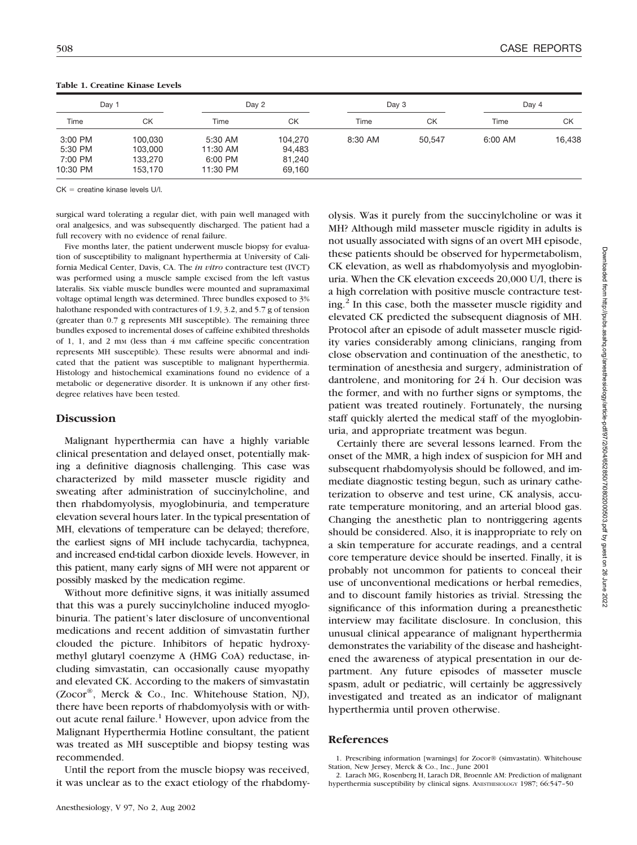| Day 1              |                    |                     | Day 2            |         | Day 3  |         | Day 4  |  |
|--------------------|--------------------|---------------------|------------------|---------|--------|---------|--------|--|
| Time               | СK                 | Time                | СK               | Time    | СK     | Time    | СK     |  |
| 3:00 PM            | 100.030            | 5:30 AM             | 104,270          | 8:30 AM | 50.547 | 6:00 AM | 16,438 |  |
| 5:30 PM<br>7:00 PM | 103,000<br>133,270 | 11:30 AM<br>6:00 PM | 94,483<br>81,240 |         |        |         |        |  |
| 10:30 PM           | 153.170            | 11:30 PM            | 69,160           |         |        |         |        |  |

**Table 1. Creatine Kinase Levels**

 $CK =$  creatine kinase levels  $U/I$ 

surgical ward tolerating a regular diet, with pain well managed with oral analgesics, and was subsequently discharged. The patient had a full recovery with no evidence of renal failure.

Five months later, the patient underwent muscle biopsy for evaluation of susceptibility to malignant hyperthermia at University of California Medical Center, Davis, CA. The *in vitro* contracture test (IVCT) was performed using a muscle sample excised from the left vastus lateralis. Six viable muscle bundles were mounted and supramaximal voltage optimal length was determined. Three bundles exposed to 3% halothane responded with contractures of 1.9, 3.2, and 5.7 g of tension (greater than 0.7 g represents MH susceptible). The remaining three bundles exposed to incremental doses of caffeine exhibited thresholds of 1, 1, and 2 mm (less than 4 mm caffeine specific concentration represents MH susceptible). These results were abnormal and indicated that the patient was susceptible to malignant hyperthermia. Histology and histochemical examinations found no evidence of a metabolic or degenerative disorder. It is unknown if any other firstdegree relatives have been tested.

## **Discussion**

Malignant hyperthermia can have a highly variable clinical presentation and delayed onset, potentially making a definitive diagnosis challenging. This case was characterized by mild masseter muscle rigidity and sweating after administration of succinylcholine, and then rhabdomyolysis, myoglobinuria, and temperature elevation several hours later. In the typical presentation of MH, elevations of temperature can be delayed; therefore, the earliest signs of MH include tachycardia, tachypnea, and increased end-tidal carbon dioxide levels. However, in this patient, many early signs of MH were not apparent or possibly masked by the medication regime.

Without more definitive signs, it was initially assumed that this was a purely succinylcholine induced myoglobinuria. The patient's later disclosure of unconventional medications and recent addition of simvastatin further clouded the picture. Inhibitors of hepatic hydroxymethyl glutaryl coenzyme A (HMG CoA) reductase, including simvastatin, can occasionally cause myopathy and elevated CK. According to the makers of simvastatin (Zocor®, Merck & Co., Inc. Whitehouse Station, NJ), there have been reports of rhabdomyolysis with or without acute renal failure.<sup>1</sup> However, upon advice from the Malignant Hyperthermia Hotline consultant, the patient was treated as MH susceptible and biopsy testing was recommended.

Until the report from the muscle biopsy was received, it was unclear as to the exact etiology of the rhabdomyolysis. Was it purely from the succinylcholine or was it MH? Although mild masseter muscle rigidity in adults is not usually associated with signs of an overt MH episode, these patients should be observed for hypermetabolism, CK elevation, as well as rhabdomyolysis and myoglobinuria. When the CK elevation exceeds 20,000 U/l, there is a high correlation with positive muscle contracture testing.<sup>2</sup> In this case, both the masseter muscle rigidity and elevated CK predicted the subsequent diagnosis of MH. Protocol after an episode of adult masseter muscle rigidity varies considerably among clinicians, ranging from close observation and continuation of the anesthetic, to termination of anesthesia and surgery, administration of dantrolene, and monitoring for 24 h. Our decision was the former, and with no further signs or symptoms, the patient was treated routinely. Fortunately, the nursing staff quickly alerted the medical staff of the myoglobinuria, and appropriate treatment was begun.

Certainly there are several lessons learned. From the onset of the MMR, a high index of suspicion for MH and subsequent rhabdomyolysis should be followed, and immediate diagnostic testing begun, such as urinary catheterization to observe and test urine, CK analysis, accurate temperature monitoring, and an arterial blood gas. Changing the anesthetic plan to nontriggering agents should be considered. Also, it is inappropriate to rely on a skin temperature for accurate readings, and a central core temperature device should be inserted. Finally, it is probably not uncommon for patients to conceal their use of unconventional medications or herbal remedies, and to discount family histories as trivial. Stressing the significance of this information during a preanesthetic interview may facilitate disclosure. In conclusion, this unusual clinical appearance of malignant hyperthermia demonstrates the variability of the disease and hasheightened the awareness of atypical presentation in our department. Any future episodes of masseter muscle spasm, adult or pediatric, will certainly be aggressively investigated and treated as an indicator of malignant hyperthermia until proven otherwise.

## **References**

<sup>1.</sup> Prescribing information [warnings] for Zocor® (simvastatin). Whitehouse Station, New Jersey, Merck & Co., Inc., June 2001

<sup>2.</sup> Larach MG, Rosenberg H, Larach DR, Broennle AM: Prediction of malignant hyperthermia susceptibility by clinical signs. ANESTHESIOLOGY 1987; 66:547-50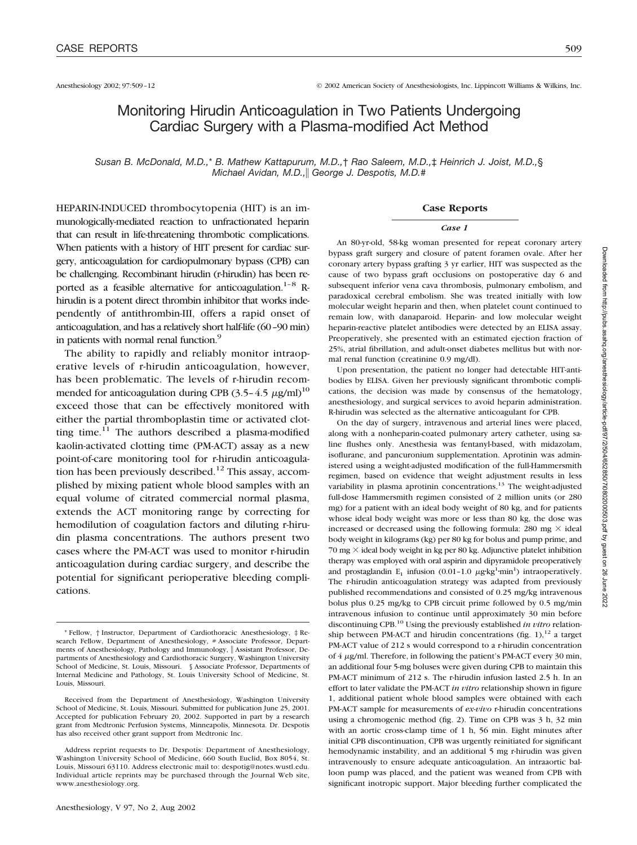# Monitoring Hirudin Anticoagulation in Two Patients Undergoing Cardiac Surgery with a Plasma-modified Act Method

*Susan B. McDonald, M.D.,*\* *B. Mathew Kattapurum, M.D.,*† *Rao Saleem, M.D.,*‡ *Heinrich J. Joist, M.D.,*§ *Michael Avidan, M.D., George J. Despotis, M.D.*#

HEPARIN-INDUCED thrombocytopenia (HIT) is an immunologically-mediated reaction to unfractionated heparin that can result in life-threatening thrombotic complications. When patients with a history of HIT present for cardiac surgery, anticoagulation for cardiopulmonary bypass (CPB) can be challenging. Recombinant hirudin (r-hirudin) has been reported as a feasible alternative for anticoagulation.<sup>1–8</sup> Rhirudin is a potent direct thrombin inhibitor that works independently of antithrombin-III, offers a rapid onset of anticoagulation, and has a relatively short half-life (60–90 min) in patients with normal renal function.<sup>9</sup>

The ability to rapidly and reliably monitor intraoperative levels of r-hirudin anticoagulation, however, has been problematic. The levels of r-hirudin recommended for anticoagulation during CPB (3.5-4.5  $\mu$ g/ml)<sup>10</sup> exceed those that can be effectively monitored with either the partial thromboplastin time or activated clotting time. $11$  The authors described a plasma-modified kaolin-activated clotting time (PM-ACT) assay as a new point-of-care monitoring tool for r-hirudin anticoagulation has been previously described.<sup>12</sup> This assay, accomplished by mixing patient whole blood samples with an equal volume of citrated commercial normal plasma, extends the ACT monitoring range by correcting for hemodilution of coagulation factors and diluting r-hirudin plasma concentrations. The authors present two cases where the PM-ACT was used to monitor r-hirudin anticoagulation during cardiac surgery, and describe the potential for significant perioperative bleeding complications.

#### **Case Reports**

#### *Case 1*

An 80-yr-old, 58-kg woman presented for repeat coronary artery bypass graft surgery and closure of patent foramen ovale. After her coronary artery bypass grafting 3 yr earlier, HIT was suspected as the cause of two bypass graft occlusions on postoperative day 6 and subsequent inferior vena cava thrombosis, pulmonary embolism, and paradoxical cerebral embolism. She was treated initially with low molecular weight heparin and then, when platelet count continued to remain low, with danaparoid. Heparin- and low molecular weight heparin-reactive platelet antibodies were detected by an ELISA assay. Preoperatively, she presented with an estimated ejection fraction of 25%, atrial fibrillation, and adult-onset diabetes mellitus but with normal renal function (creatinine 0.9 mg/dl).

Upon presentation, the patient no longer had detectable HIT-antibodies by ELISA. Given her previously significant thrombotic complications, the decision was made by consensus of the hematology, anesthesiology, and surgical services to avoid heparin administration. R-hirudin was selected as the alternative anticoagulant for CPB.

On the day of surgery, intravenous and arterial lines were placed, along with a nonheparin-coated pulmonary artery catheter, using saline flushes only. Anesthesia was fentanyl-based, with midazolam, isoflurane, and pancuronium supplementation. Aprotinin was administered using a weight-adjusted modification of the full-Hammersmith regimen, based on evidence that weight adjustment results in less variability in plasma aprotinin concentrations.<sup>13</sup> The weight-adjusted full-dose Hammersmith regimen consisted of 2 million units (or 280 mg) for a patient with an ideal body weight of 80 kg, and for patients whose ideal body weight was more or less than 80 kg, the dose was increased or decreased using the following formula: 280 mg  $\times$  ideal body weight in kilograms (kg) per 80 kg for bolus and pump prime, and  $70$  mg  $\times$  ideal body weight in kg per 80 kg. Adjunctive platelet inhibition therapy was employed with oral aspirin and dipyramidole preoperatively and prostaglandin  $E_1$  infusion (0.01-1.0  $\mu g \cdot kg^1$ ·min<sup>1</sup>) intraoperatively. The r-hirudin anticoagulation strategy was adapted from previously published recommendations and consisted of 0.25 mg/kg intravenous bolus plus 0.25 mg/kg to CPB circuit prime followed by 0.5 mg/min intravenous infusion to continue until approximately 30 min before discontinuing CPB.10 Using the previously established *in vitro* relationship between PM-ACT and hirudin concentrations (fig.  $1$ ),<sup>12</sup> a target PM-ACT value of 212 s would correspond to a r-hirudin concentration of  $4 \mu$ g/ml. Therefore, in following the patient's PM-ACT every 30 min, an additional four 5-mg boluses were given during CPB to maintain this PM-ACT minimum of 212 s. The r-hirudin infusion lasted 2.5 h. In an effort to later validate the PM-ACT *in vitro* relationship shown in figure 1, additional patient whole blood samples were obtained with each PM-ACT sample for measurements of *ex-vivo* r-hirudin concentrations using a chromogenic method (fig. 2). Time on CPB was 3 h, 32 min with an aortic cross-clamp time of 1 h, 56 min. Eight minutes after initial CPB discontinuation, CPB was urgently reinitiated for significant hemodynamic instability, and an additional 5 mg r-hirudin was given intravenously to ensure adequate anticoagulation. An intraaortic balloon pump was placed, and the patient was weaned from CPB with significant inotropic support. Major bleeding further complicated the

<sup>\*</sup> Fellow, † Instructor, Department of Cardiothoracic Anesthesiology, ‡ Research Fellow, Department of Anesthesiology, # Associate Professor, Departments of Anesthesiology, Pathology and Immunology, || Assistant Professor, Departments of Anesthesiology and Cardiothoracic Surgery, Washington University School of Medicine, St. Louis, Missouri. § Associate Professor, Departments of Internal Medicine and Pathology, St. Louis University School of Medicine, St. Louis, Missouri.

Received from the Department of Anesthesiology, Washington University School of Medicine, St. Louis, Missouri. Submitted for publication June 25, 2001. Accepted for publication February 20, 2002. Supported in part by a research grant from Medtronic Perfusion Systems, Minneapolis, Minnesota. Dr. Despotis has also received other grant support from Medtronic Inc.

Address reprint requests to Dr. Despotis: Department of Anesthesiology, Washington University School of Medicine, 660 South Euclid, Box 8054, St. Louis, Missouri 63110. Address electronic mail to: despotig@notes.wustl.edu. Individual article reprints may be purchased through the Journal Web site, www.anesthesiology.org.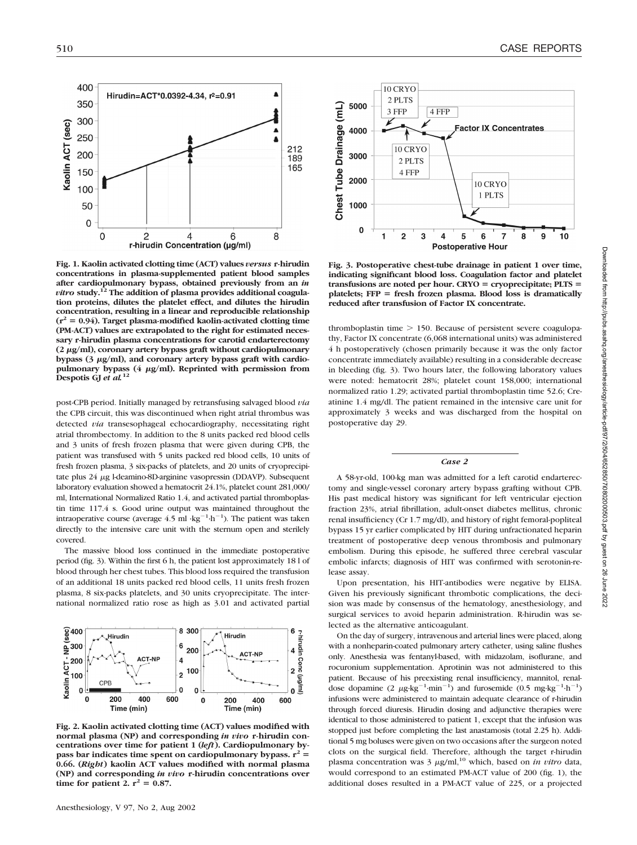Kaolin ACT (sec)

400

350

300

250

200

150

100

50  $\mathbf 0$ 

 $\mathbf 0$ 

 $\overline{c}$ 

**Fig. 1. Kaolin activated clotting time (ACT) values** *versus* **r-hirudin concentrations in plasma-supplemented patient blood samples after cardiopulmonary bypass, obtained previously from an** *in vitro* **study.12 The addition of plasma provides additional coagulation proteins, dilutes the platelet effect, and dilutes the hirudin concentration, resulting in a linear and reproducible relationship**  $(r^2 = 0.94)$ . Target plasma-modified kaolin-activated clotting time **(PM-ACT) values are extrapolated to the right for estimated necessary r-hirudin plasma concentrations for carotid endarterectomy** (2 μg/ml), coronary artery bypass graft without cardiopulmonary bypass (3  $\mu$ g/ml), and coronary artery bypass graft with cardiopulmonary bypass (4  $\mu$ g/ml). Reprinted with permission from **Despotis GJ** *et al.***<sup>12</sup>**

 $\overline{4}$ 

r-hirudin Concentration (µg/ml)

6

Hirudin=ACT\*0.0392-4.34, r<sup>2</sup>=0.91

212

189

165

8

post-CPB period. Initially managed by retransfusing salvaged blood *via* the CPB circuit, this was discontinued when right atrial thrombus was detected *via* transesophageal echocardiography, necessitating right atrial thrombectomy. In addition to the 8 units packed red blood cells and 3 units of fresh frozen plasma that were given during CPB, the patient was transfused with 5 units packed red blood cells, 10 units of fresh frozen plasma, 3 six-packs of platelets, and 20 units of cryoprecipitate plus  $24 \mu$ g l-deamino-8D-arginine vasopressin (DDAVP). Subsequent laboratory evaluation showed a hematocrit 24.1%, platelet count 281,000/ ml, International Normalized Ratio 1.4, and activated partial thromboplastin time 117.4 s. Good urine output was maintained throughout the intraoperative course (average  $4.5$  ml  $\cdot$ kg<sup>-1</sup> $\cdot$ h<sup>-1</sup>). The patient was taken directly to the intensive care unit with the sternum open and sterilely covered.

The massive blood loss continued in the immediate postoperative period (fig. 3). Within the first 6 h, the patient lost approximately 18 l of blood through her chest tubes. This blood loss required the transfusion of an additional 18 units packed red blood cells, 11 units fresh frozen plasma, 8 six-packs platelets, and 30 units cryoprecipitate. The international normalized ratio rose as high as 3.01 and activated partial



**Fig. 2. Kaolin activated clotting time (ACT) values modified with normal plasma (NP) and corresponding** *in vivo* **r-hirudin concentrations over time for patient 1 (***left***). Cardiopulmonary by**pass bar indicates time spent on cardiopulmonary bypass.  $r^2$  = **0.66. (***Right***) kaolin ACT values modified with normal plasma (NP) and corresponding** *in vivo* **r-hirudin concentrations over time for patient 2.**  $r^2 = 0.87$ **.** 



**Fig. 3. Postoperative chest-tube drainage in patient 1 over time, indicating significant blood loss. Coagulation factor and platelet transfusions are noted per hour. CRYO cryoprecipitate; PLTS platelets; FFP fresh frozen plasma. Blood loss is dramatically reduced after transfusion of Factor IX concentrate.**

thromboplastin time  $> 150$ . Because of persistent severe coagulopathy, Factor IX concentrate (6,068 international units) was administered 4 h postoperatively (chosen primarily because it was the only factor concentrate immediately available) resulting in a considerable decrease in bleeding (fig. 3). Two hours later, the following laboratory values were noted: hematocrit 28%; platelet count 158,000; international normalized ratio 1.29; activated partial thromboplastin time 52.6; Creatinine 1.4 mg/dl. The patient remained in the intensive care unit for approximately 3 weeks and was discharged from the hospital on postoperative day 29.

#### *Case 2*

A 58-yr-old, 100-kg man was admitted for a left carotid endarterectomy and single-vessel coronary artery bypass grafting without CPB. His past medical history was significant for left ventricular ejection fraction 23%, atrial fibrillation, adult-onset diabetes mellitus, chronic renal insufficiency (Cr 1.7 mg/dl), and history of right femoral-popliteal bypass 15 yr earlier complicated by HIT during unfractionated heparin treatment of postoperative deep venous thrombosis and pulmonary embolism. During this episode, he suffered three cerebral vascular embolic infarcts; diagnosis of HIT was confirmed with serotonin-release assay.

Upon presentation, his HIT-antibodies were negative by ELISA. Given his previously significant thrombotic complications, the decision was made by consensus of the hematology, anesthesiology, and surgical services to avoid heparin administration. R-hirudin was selected as the alternative anticoagulant.

On the day of surgery, intravenous and arterial lines were placed, along with a nonheparin-coated pulmonary artery catheter, using saline flushes only. Anesthesia was fentanyl-based, with midazolam, isoflurane, and rocuronium supplementation. Aprotinin was not administered to this patient. Because of his preexisting renal insufficiency, mannitol, renaldose dopamine (2  $\mu$ g·kg<sup>-1</sup>·min<sup>-1</sup>) and furosemide (0.5 mg·kg<sup>-1</sup>·h<sup>-1</sup>) infusions were administered to maintain adequate clearance of r-hirudin through forced diuresis. Hirudin dosing and adjunctive therapies were identical to those administered to patient 1, except that the infusion was stopped just before completing the last anastamosis (total 2.25 h). Additional 5 mg boluses were given on two occasions after the surgeon noted clots on the surgical field. Therefore, although the target r-hirudin plasma concentration was  $3 \mu g/ml$ ,<sup>10</sup> which, based on *in vitro* data, would correspond to an estimated PM-ACT value of 200 (fig. 1), the additional doses resulted in a PM-ACT value of 225, or a projected 2022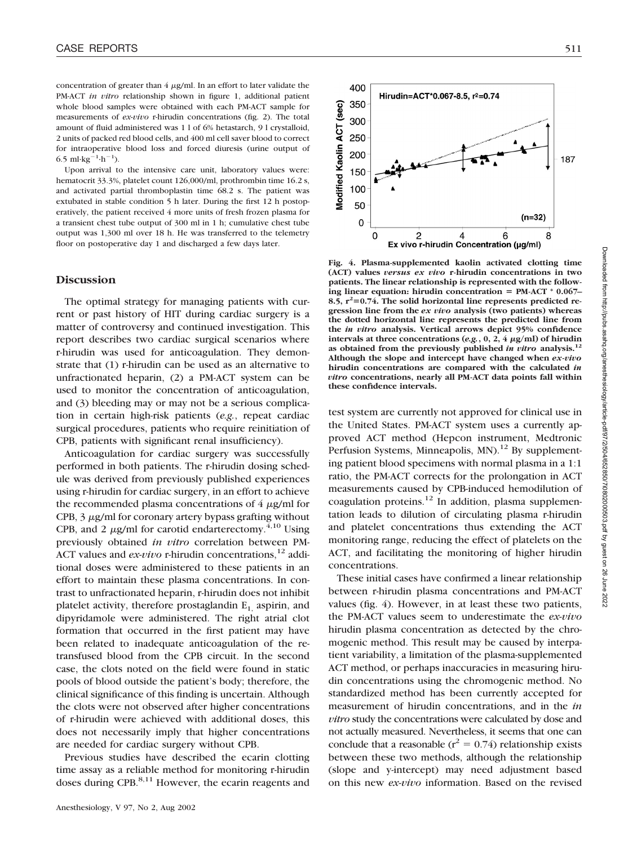concentration of greater than  $4 \mu g/ml$ . In an effort to later validate the PM-ACT *in vitro* relationship shown in figure 1, additional patient whole blood samples were obtained with each PM-ACT sample for measurements of *ex-vivo* r-hirudin concentrations (fig. 2). The total amount of fluid administered was 1 l of 6% hetastarch, 9 l crystalloid, 2 units of packed red blood cells, and 400 ml cell saver blood to correct for intraoperative blood loss and forced diuresis (urine output of 6.5 ml·kg<sup>-1</sup>·h<sup>-1</sup>).

Upon arrival to the intensive care unit, laboratory values were: hematocrit 33.3%, platelet count 126,000/ml, prothrombin time 16.2 s, and activated partial thromboplastin time 68.2 s. The patient was extubated in stable condition 5 h later. During the first 12 h postoperatively, the patient received 4 more units of fresh frozen plasma for a transient chest tube output of 300 ml in 1 h; cumulative chest tube output was 1,300 ml over 18 h. He was transferred to the telemetry floor on postoperative day 1 and discharged a few days later.

## **Discussion**

The optimal strategy for managing patients with current or past history of HIT during cardiac surgery is a matter of controversy and continued investigation. This report describes two cardiac surgical scenarios where r-hirudin was used for anticoagulation. They demonstrate that (1) r-hirudin can be used as an alternative to unfractionated heparin, (2) a PM-ACT system can be used to monitor the concentration of anticoagulation, and (3) bleeding may or may not be a serious complication in certain high-risk patients (*e.g.*, repeat cardiac surgical procedures, patients who require reinitiation of CPB, patients with significant renal insufficiency).

Anticoagulation for cardiac surgery was successfully performed in both patients. The r-hirudin dosing schedule was derived from previously published experiences using r-hirudin for cardiac surgery, in an effort to achieve the recommended plasma concentrations of  $4 \mu g/ml$  for CPB,  $3 \mu g/ml$  for coronary artery bypass grafting without CPB, and 2  $\mu$ g/ml for carotid endarterectomy.<sup>4,10</sup> Using previously obtained *in vitro* correlation between PM-ACT values and *ex-vivo* r-hirudin concentrations,<sup>12</sup> additional doses were administered to these patients in an effort to maintain these plasma concentrations. In contrast to unfractionated heparin, r-hirudin does not inhibit platelet activity, therefore prostaglandin  $E_1$  aspirin, and dipyridamole were administered. The right atrial clot formation that occurred in the first patient may have been related to inadequate anticoagulation of the retransfused blood from the CPB circuit. In the second case, the clots noted on the field were found in static pools of blood outside the patient's body; therefore, the clinical significance of this finding is uncertain. Although the clots were not observed after higher concentrations of r-hirudin were achieved with additional doses, this does not necessarily imply that higher concentrations are needed for cardiac surgery without CPB.

Previous studies have described the ecarin clotting time assay as a reliable method for monitoring r-hirudin doses during CPB.<sup>8,11</sup> However, the ecarin reagents and



**Fig. 4. Plasma-supplemented kaolin activated clotting time (ACT) values** *versus ex vivo* **r-hirudin concentrations in two patients. The linear relationship is represented with the following linear equation: hirudin concentration PM-ACT \* 0.067– 8.5, r<sup>2</sup> 0.74. The solid horizontal line represents predicted regression line from the** *ex vivo* **analysis (two patients) whereas the dotted horizontal line represents the predicted line from the** *in vitro* **analysis. Vertical arrows depict 95% confidence**  $\text{intervals at three concentrations } (e.g., 0, 2, 4 \text{ }\mu\text{g/ml}) \text{ of hirudin}$ **as obtained from the previously published** *in vitro* **analysis.12 Although the slope and intercept have changed when** *ex-vivo* **hirudin concentrations are compared with the calculated** *in vitro* **concentrations, nearly all PM-ACT data points fall within these confidence intervals.**

test system are currently not approved for clinical use in the United States. PM-ACT system uses a currently approved ACT method (Hepcon instrument, Medtronic Perfusion Systems, Minneapolis, MN).<sup>12</sup> By supplementing patient blood specimens with normal plasma in a 1:1 ratio, the PM-ACT corrects for the prolongation in ACT measurements caused by CPB-induced hemodilution of coagulation proteins. $12$  In addition, plasma supplementation leads to dilution of circulating plasma r-hirudin and platelet concentrations thus extending the ACT monitoring range, reducing the effect of platelets on the ACT, and facilitating the monitoring of higher hirudin concentrations.

These initial cases have confirmed a linear relationship between r-hirudin plasma concentrations and PM-ACT values (fig. 4). However, in at least these two patients, the PM-ACT values seem to underestimate the *ex-vivo* hirudin plasma concentration as detected by the chromogenic method. This result may be caused by interpatient variability, a limitation of the plasma-supplemented ACT method, or perhaps inaccuracies in measuring hirudin concentrations using the chromogenic method. No standardized method has been currently accepted for measurement of hirudin concentrations, and in the *in vitro* study the concentrations were calculated by dose and not actually measured. Nevertheless, it seems that one can conclude that a reasonable ( $r^2 = 0.74$ ) relationship exists between these two methods, although the relationship (slope and y-intercept) may need adjustment based on this new *ex-vivo* information. Based on the revised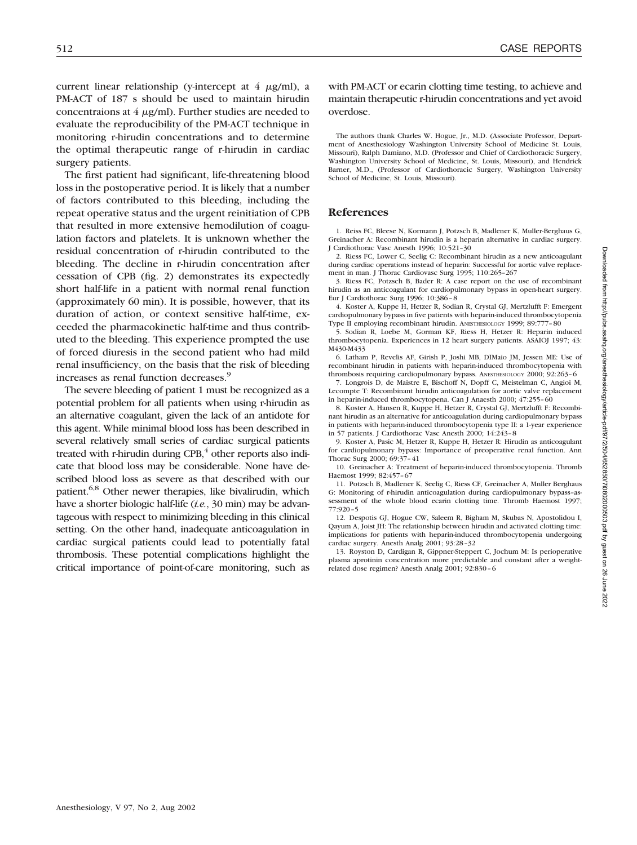current linear relationship (y-intercept at  $4 \mu g/ml$ ), a PM-ACT of 187 s should be used to maintain hirudin concentraions at  $4 \mu g/ml$ . Further studies are needed to evaluate the reproducibility of the PM-ACT technique in monitoring r-hirudin concentrations and to determine the optimal therapeutic range of r-hirudin in cardiac surgery patients.

The first patient had significant, life-threatening blood loss in the postoperative period. It is likely that a number of factors contributed to this bleeding, including the repeat operative status and the urgent reinitiation of CPB that resulted in more extensive hemodilution of coagulation factors and platelets. It is unknown whether the residual concentration of r-hirudin contributed to the bleeding. The decline in r-hirudin concentration after cessation of CPB (fig. 2) demonstrates its expectedly short half-life in a patient with normal renal function (approximately 60 min). It is possible, however, that its duration of action, or context sensitive half-time, exceeded the pharmacokinetic half-time and thus contributed to the bleeding. This experience prompted the use of forced diuresis in the second patient who had mild renal insufficiency, on the basis that the risk of bleeding increases as renal function decreases.<sup>9</sup>

The severe bleeding of patient 1 must be recognized as a potential problem for all patients when using r-hirudin as an alternative coagulant, given the lack of an antidote for this agent. While minimal blood loss has been described in several relatively small series of cardiac surgical patients treated with r-hirudin during  $CPB$ , other reports also indicate that blood loss may be considerable. None have described blood loss as severe as that described with our patient.6,8 Other newer therapies, like bivalirudin, which have a shorter biologic half-life (*i.e.*, 30 min) may be advantageous with respect to minimizing bleeding in this clinical setting. On the other hand, inadequate anticoagulation in cardiac surgical patients could lead to potentially fatal thrombosis. These potential complications highlight the critical importance of point-of-care monitoring, such as with PM-ACT or ecarin clotting time testing, to achieve and maintain therapeutic r-hirudin concentrations and yet avoid overdose.

The authors thank Charles W. Hogue, Jr., M.D. (Associate Professor, Department of Anesthesiology Washington University School of Medicine St. Louis, Missouri), Ralph Damiano, M.D. (Professor and Chief of Cardiothoracic Surgery, Washington University School of Medicine, St. Louis, Missouri), and Hendrick Barner, M.D., (Professor of Cardiothoracic Surgery, Washington University School of Medicine, St. Louis, Missouri).

## **References**

1. Reiss FC, Bleese N, Kormann J, Potzsch B, Madlener K, Muller-Berghaus G, Greinacher A: Recombinant hirudin is a heparin alternative in cardiac surgery. J Cardiothorac Vasc Anesth 1996; 10:521–30

2. Riess FC, Lower C, Seelig C: Recombinant hirudin as a new anticoagulant during cardiac operations instead of heparin: Successful for aortic valve replacement in man. J Thorac Cardiovasc Surg 1995; 110:265–267

3. Riess FC, Potzsch B, Bader R: A case report on the use of recombinant hirudin as an anticoagulant for cardiopulmonary bypass in open-heart surgery. Eur J Cardiothorac Surg 1996; 10:386–8

4. Koster A, Kuppe H, Hetzer R, Sodian R, Crystal GJ, Mertzlufft F: Emergent cardiopulmonary bypass in five patients with heparin-induced thrombocytopenia Type II employing recombinant hirudin. ANESTHESIOLOGY 1999; 89:777–80

5. Sodian R, Loebe M, Gorman KF, Riess H, Hetzer R: Heparin induced thrombocytopenia. Experiences in 12 heart surgery patients. ASAIOJ 1997; 43: M430-M433

6. Latham P, Revelis AF, Girish P, Joshi MB, DIMaio JM, Jessen ME: Use of recombinant hirudin in patients with heparin-induced thrombocytopenia with thrombosis requiring cardiopulmonary bypass. ANESTHESIOLOGY 2000; 92:263–6

7. Longrois D, de Maistre E, Bischoff N, Dopff C, Meistelman C, Angioi M, Lecompte T: Recombinant hirudin anticoagulation for aortic valve replacement in heparin-induced thrombocytopena. Can J Anaesth 2000; 47:255–60

8. Koster A, Hansen R, Kuppe H, Hetzer R, Crystal GJ, Mertzlufft F: Recombinant hirudin as an alternative for anticoagulation during cardiopulmonary bypass in patients with heparin-induced thrombocytopenia type II: a 1-year experience in 57 patients. J Cardiothorac Vasc Anesth 2000; 14:243–8

9. Koster A, Pasic M, Hetzer R, Kuppe H, Hetzer R: Hirudin as anticoagulant for cardiopulmonary bypass: Importance of preoperative renal function. Ann Thorac Surg 2000; 69:37–41

10. Greinacher A: Treatment of heparin-induced thrombocytopenia. Thromb Haemost 1999; 82:457–67

11. Potzsch B, Madlener K, Seelig C, Riess CF, Greinacher A, Mnller Berghaus G: Monitoring of r-hirudin anticoagulation during cardiopulmonary bypass–assessment of the whole blood ecarin clotting time. Thromb Haemost 1997; 77:920–5

12. Despotis GJ, Hogue CW, Saleem R, Bigham M, Skubas N, Apostolidou I, Qayum A, Joist JH: The relationship between hirudin and activated clotting time: implications for patients with heparin-induced thrombocytopenia undergoing cardiac surgery. Anesth Analg 2001; 93:28–32

13. Royston D, Cardigan R, Gippner-Steppert C, Jochum M: Is perioperative plasma aprotinin concentration more predictable and constant after a weightrelated dose regimen? Anesth Analg 2001; 92:830–6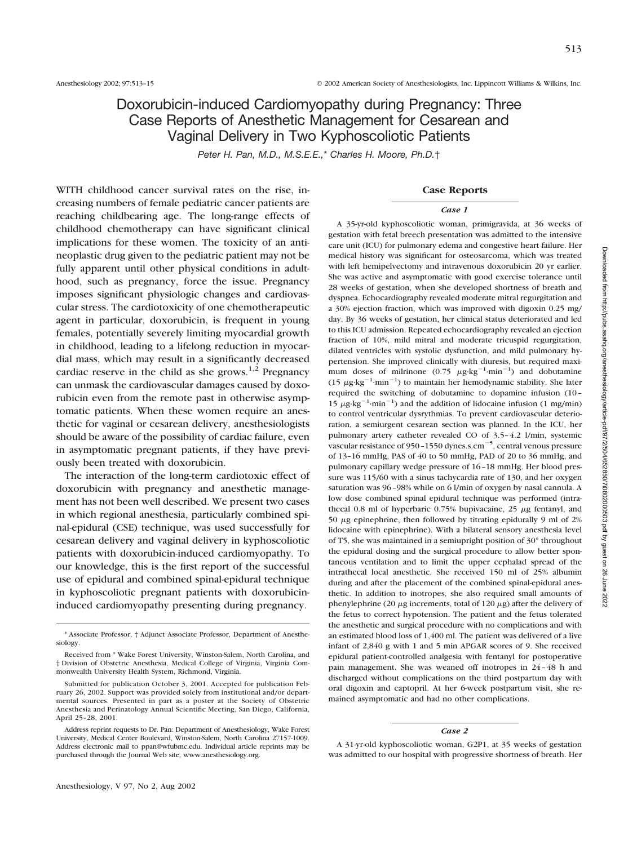# Doxorubicin-induced Cardiomyopathy during Pregnancy: Three Case Reports of Anesthetic Management for Cesarean and Vaginal Delivery in Two Kyphoscoliotic Patients

*Peter H. Pan, M.D., M.S.E.E.,*\* *Charles H. Moore, Ph.D.*†

WITH childhood cancer survival rates on the rise, increasing numbers of female pediatric cancer patients are reaching childbearing age. The long-range effects of childhood chemotherapy can have significant clinical implications for these women. The toxicity of an antineoplastic drug given to the pediatric patient may not be fully apparent until other physical conditions in adulthood, such as pregnancy, force the issue. Pregnancy imposes significant physiologic changes and cardiovascular stress. The cardiotoxicity of one chemotherapeutic agent in particular, doxorubicin, is frequent in young females, potentially severely limiting myocardial growth in childhood, leading to a lifelong reduction in myocardial mass, which may result in a significantly decreased cardiac reserve in the child as she grows.<sup>1,2</sup> Pregnancy can unmask the cardiovascular damages caused by doxorubicin even from the remote past in otherwise asymptomatic patients. When these women require an anesthetic for vaginal or cesarean delivery, anesthesiologists should be aware of the possibility of cardiac failure, even in asymptomatic pregnant patients, if they have previously been treated with doxorubicin.

The interaction of the long-term cardiotoxic effect of doxorubicin with pregnancy and anesthetic management has not been well described. We present two cases in which regional anesthesia, particularly combined spinal-epidural (CSE) technique, was used successfully for cesarean delivery and vaginal delivery in kyphoscoliotic patients with doxorubicin-induced cardiomyopathy. To our knowledge, this is the first report of the successful use of epidural and combined spinal-epidural technique in kyphoscoliotic pregnant patients with doxorubicininduced cardiomyopathy presenting during pregnancy.

### **Case Reports**

#### *Case 1*

A 35-yr-old kyphoscoliotic woman, primigravida, at 36 weeks of gestation with fetal breech presentation was admitted to the intensive care unit (ICU) for pulmonary edema and congestive heart failure. Her medical history was significant for osteosarcoma, which was treated with left hemipelvectomy and intravenous doxorubicin 20 yr earlier. She was active and asymptomatic with good exercise tolerance until 28 weeks of gestation, when she developed shortness of breath and dyspnea. Echocardiography revealed moderate mitral regurgitation and a 30% ejection fraction, which was improved with digoxin 0.25 mg/ day. By 36 weeks of gestation, her clinical status deteriorated and led to this ICU admission. Repeated echocardiography revealed an ejection fraction of 10%, mild mitral and moderate tricuspid regurgitation, dilated ventricles with systolic dysfunction, and mild pulmonary hypertension. She improved clinically with diuresis, but required maximum doses of milrinone  $(0.75 \ \mu g \cdot kg^{-1} \cdot min^{-1})$  and dobutamine (15  $\mu$ g·kg<sup>-1</sup>·min<sup>-1</sup>) to maintain her hemodynamic stability. She later required the switching of dobutamine to dopamine infusion (10– 15  $\mu$ g·kg<sup>-1</sup>·min<sup>-1</sup>) and the addition of lidocaine infusion (1 mg/min) to control ventricular dysrythmias. To prevent cardiovascular deterioration, a semiurgent cesarean section was planned. In the ICU, her pulmonary artery catheter revealed CO of 3.5–4.2 l/min, systemic vascular resistance of 950-1550 dynes.s.cm $^{-5}$ , central venous pressure of 13–16 mmHg, PAS of 40 to 50 mmHg, PAD of 20 to 36 mmHg, and pulmonary capillary wedge pressure of 16–18 mmHg. Her blood pressure was 115/60 with a sinus tachycardia rate of 130, and her oxygen saturation was 96–98% while on 6 l/min of oxygen by nasal cannula. A low dose combined spinal epidural technique was performed (intrathecal 0.8 ml of hyperbaric 0.75% bupivacaine,  $25 \mu$ g fentanyl, and 50  $\mu$ g epinephrine, then followed by titrating epidurally 9 ml of 2% lidocaine with epinephrine). With a bilateral sensory anesthesia level of T5, she was maintained in a semiupright position of 30° throughout the epidural dosing and the surgical procedure to allow better spontaneous ventilation and to limit the upper cephalad spread of the intrathecal local anesthetic. She received 150 ml of 25% albumin during and after the placement of the combined spinal-epidural anesthetic. In addition to inotropes, she also required small amounts of phenylephrine (20  $\mu$ g increments, total of 120  $\mu$ g) after the delivery of the fetus to correct hypotension. The patient and the fetus tolerated the anesthetic and surgical procedure with no complications and with an estimated blood loss of 1,400 ml. The patient was delivered of a live infant of 2,840 g with 1 and 5 min APGAR scores of 9. She received epidural patient-controlled analgesia with fentanyl for postoperative pain management. She was weaned off inotropes in 24–48 h and discharged without complications on the third postpartum day with oral digoxin and captopril. At her 6-week postpartum visit, she remained asymptomatic and had no other complications.

#### *Case 2*

A 31-yr-old kyphoscoliotic woman, G2P1, at 35 weeks of gestation was admitted to our hospital with progressive shortness of breath. Her

<sup>\*</sup> Associate Professor, † Adjunct Associate Professor, Department of Anesthesiology.

Received from \* Wake Forest University, Winston-Salem, North Carolina, and † Division of Obstetric Anesthesia, Medical College of Virginia, Virginia Commonwealth University Health System, Richmond, Virginia.

Submitted for publication October 3, 2001. Accepted for publication February 26, 2002. Support was provided solely from institutional and/or departmental sources. Presented in part as a poster at the Society of Obstetric Anesthesia and Perinatology Annual Scientific Meeting, San Diego, California, April 25–28, 2001.

Address reprint requests to Dr. Pan: Department of Anesthesiology, Wake Forest University, Medical Center Boulevard, Winston-Salem, North Carolina 27157-1009. Address electronic mail to ppan@wfubmc.edu. Individual article reprints may be purchased through the Journal Web site, www.anesthesiology.org.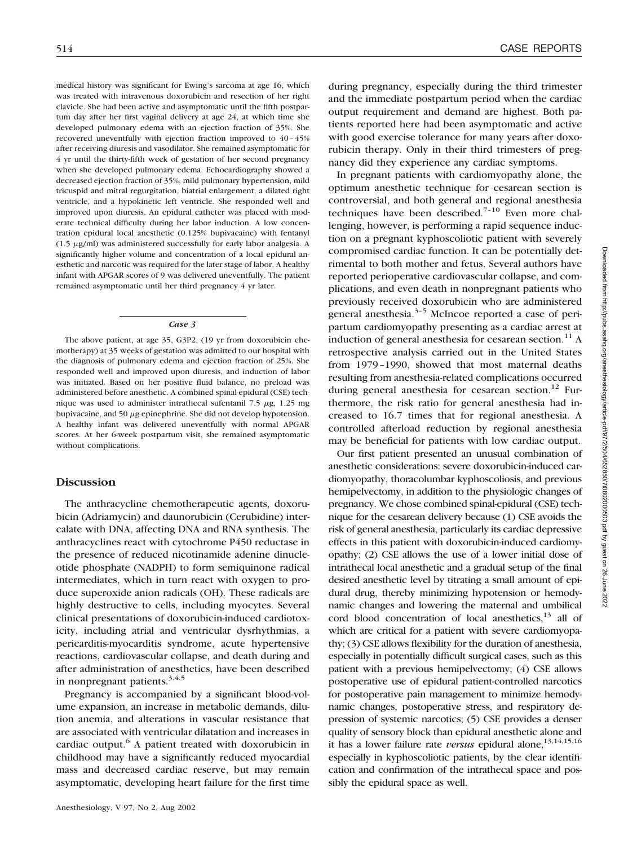medical history was significant for Ewing's sarcoma at age 16, which was treated with intravenous doxorubicin and resection of her right clavicle. She had been active and asymptomatic until the fifth postpartum day after her first vaginal delivery at age 24, at which time she developed pulmonary edema with an ejection fraction of 35%. She recovered uneventfully with ejection fraction improved to 40–45% after receiving diuresis and vasodilator. She remained asymptomatic for 4 yr until the thirty-fifth week of gestation of her second pregnancy when she developed pulmonary edema. Echocardiography showed a decreased ejection fraction of 35%, mild pulmonary hypertension, mild tricuspid and mitral regurgitation, biatrial enlargement, a dilated right ventricle, and a hypokinetic left ventricle. She responded well and improved upon diuresis. An epidural catheter was placed with moderate technical difficulty during her labor induction. A low concentration epidural local anesthetic (0.125% bupivacaine) with fentanyl (1.5  $\mu$ g/ml) was administered successfully for early labor analgesia. A significantly higher volume and concentration of a local epidural anesthetic and narcotic was required for the later stage of labor. A healthy infant with APGAR scores of 9 was delivered uneventfully. The patient remained asymptomatic until her third pregnancy 4 yr later.

#### *Case 3*

The above patient, at age 35, G3P2, (19 yr from doxorubicin chemotherapy) at 35 weeks of gestation was admitted to our hospital with the diagnosis of pulmonary edema and ejection fraction of 25%. She responded well and improved upon diuresis, and induction of labor was initiated. Based on her positive fluid balance, no preload was administered before anesthetic. A combined spinal-epidural (CSE) technique was used to administer intrathecal sufentanil 7.5  $\mu$ g, 1.25 mg bupivacaine, and 50  $\mu$ g epinephrine. She did not develop hypotension. A healthy infant was delivered uneventfully with normal APGAR scores. At her 6-week postpartum visit, she remained asymptomatic without complications.

## **Discussion**

The anthracycline chemotherapeutic agents, doxorubicin (Adriamycin) and daunorubicin (Cerubidine) intercalate with DNA, affecting DNA and RNA synthesis. The anthracyclines react with cytochrome P450 reductase in the presence of reduced nicotinamide adenine dinucleotide phosphate (NADPH) to form semiquinone radical intermediates, which in turn react with oxygen to produce superoxide anion radicals (OH). These radicals are highly destructive to cells, including myocytes. Several clinical presentations of doxorubicin-induced cardiotoxicity, including atrial and ventricular dysrhythmias, a pericarditis-myocarditis syndrome, acute hypertensive reactions, cardiovascular collapse, and death during and after administration of anesthetics, have been described in nonpregnant patients. $3,4,5$ 

Pregnancy is accompanied by a significant blood-volume expansion, an increase in metabolic demands, dilution anemia, and alterations in vascular resistance that are associated with ventricular dilatation and increases in cardiac output.<sup>6</sup> A patient treated with doxorubicin in childhood may have a significantly reduced myocardial mass and decreased cardiac reserve, but may remain asymptomatic, developing heart failure for the first time

during pregnancy, especially during the third trimester and the immediate postpartum period when the cardiac output requirement and demand are highest. Both patients reported here had been asymptomatic and active with good exercise tolerance for many years after doxorubicin therapy. Only in their third trimesters of pregnancy did they experience any cardiac symptoms.

In pregnant patients with cardiomyopathy alone, the optimum anesthetic technique for cesarean section is controversial, and both general and regional anesthesia techniques have been described. $7-10$  Even more challenging, however, is performing a rapid sequence induction on a pregnant kyphoscoliotic patient with severely compromised cardiac function. It can be potentially detrimental to both mother and fetus. Several authors have reported perioperative cardiovascular collapse, and complications, and even death in nonpregnant patients who previously received doxorubicin who are administered general anesthesia. $3-5$  McIncoe reported a case of peripartum cardiomyopathy presenting as a cardiac arrest at induction of general anesthesia for cesarean section.<sup>11</sup> A retrospective analysis carried out in the United States from 1979–1990, showed that most maternal deaths resulting from anesthesia-related complications occurred during general anesthesia for cesarean section.<sup>12</sup> Furthermore, the risk ratio for general anesthesia had increased to 16.7 times that for regional anesthesia. A controlled afterload reduction by regional anesthesia may be beneficial for patients with low cardiac output.

Our first patient presented an unusual combination of anesthetic considerations: severe doxorubicin-induced cardiomyopathy, thoracolumbar kyphoscoliosis, and previous hemipelvectomy, in addition to the physiologic changes of pregnancy. We chose combined spinal-epidural (CSE) technique for the cesarean delivery because (1) CSE avoids the risk of general anesthesia, particularly its cardiac depressive effects in this patient with doxorubicin-induced cardiomyopathy; (2) CSE allows the use of a lower initial dose of intrathecal local anesthetic and a gradual setup of the final desired anesthetic level by titrating a small amount of epidural drug, thereby minimizing hypotension or hemodynamic changes and lowering the maternal and umbilical cord blood concentration of local anesthetics, $13$  all of which are critical for a patient with severe cardiomyopathy; (3) CSE allows flexibility for the duration of anesthesia, especially in potentially difficult surgical cases, such as this patient with a previous hemipelvectomy; (4) CSE allows postoperative use of epidural patient-controlled narcotics for postoperative pain management to minimize hemodynamic changes, postoperative stress, and respiratory depression of systemic narcotics; (5) CSE provides a denser quality of sensory block than epidural anesthetic alone and it has a lower failure rate *versus* epidural alone,<sup>13,14,15,16</sup> especially in kyphoscoliotic patients, by the clear identification and confirmation of the intrathecal space and possibly the epidural space as well.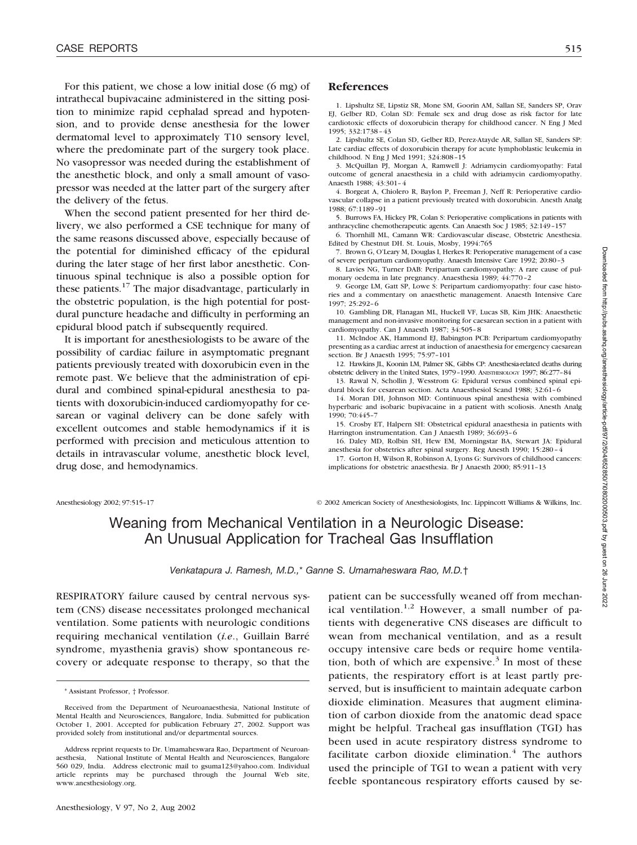For this patient, we chose a low initial dose (6 mg) of intrathecal bupivacaine administered in the sitting position to minimize rapid cephalad spread and hypotension, and to provide dense anesthesia for the lower dermatomal level to approximately T10 sensory level, where the predominate part of the surgery took place. No vasopressor was needed during the establishment of the anesthetic block, and only a small amount of vasopressor was needed at the latter part of the surgery after the delivery of the fetus.

When the second patient presented for her third delivery, we also performed a CSE technique for many of the same reasons discussed above, especially because of the potential for diminished efficacy of the epidural during the later stage of her first labor anesthetic. Continuous spinal technique is also a possible option for these patients.17 The major disadvantage, particularly in the obstetric population, is the high potential for postdural puncture headache and difficulty in performing an epidural blood patch if subsequently required.

It is important for anesthesiologists to be aware of the possibility of cardiac failure in asymptomatic pregnant patients previously treated with doxorubicin even in the remote past. We believe that the administration of epidural and combined spinal-epidural anesthesia to patients with doxorubicin-induced cardiomyopathy for cesarean or vaginal delivery can be done safely with excellent outcomes and stable hemodynamics if it is performed with precision and meticulous attention to details in intravascular volume, anesthetic block level, drug dose, and hemodynamics.

## **References**

1. Lipshultz SE, Lipstiz SR, Mone SM, Goorin AM, Sallan SE, Sanders SP, Orav EJ, Gelber RD, Colan SD: Female sex and drug dose as risk factor for late cardiotoxic effects of doxorubicin therapy for childhood cancer. N Eng J Med 1995; 332:1738–43

2. Lipshultz SE, Colan SD, Gelber RD, Perez-Atayde AR, Sallan SE, Sanders SP: Late cardiac effects of doxorubicin therapy for acute lymphoblastic leukemia in childhood. N Eng J Med 1991; 324:808–15

3. McQuillan PJ, Morgan A, Ramwell J: Adriamycin cardiomyopathy: Fatal outcome of general anaesthesia in a child with adriamycin cardiomyopathy. Anaesth 1988; 43:301–4

4. Borgeat A, Chiolero R, Baylon P, Freeman J, Neff R: Perioperative cardiovascular collapse in a patient previously treated with doxorubicin. Anesth Analg 1988; 67:1189–91

5. Burrows FA, Hickey PR, Colan S: Perioperative complications in patients with anthracycline chemotherapeutic agents. Can Anaesth Soc J 1985; 32:149–157

6. Thornhill ML, Camann WR: Cardiovascular disease, Obstetric Anesthesia. Edited by Chestnut DH. St. Louis, Mosby, 1994:765

7. Brown G, O'Leary M, Douglas I, Herkes R: Perioperative management of a case of severe peripartum cardiomyopathy. Anaesth Intensive Care 1992; 20:80–3

8. Lavies NG, Turner DAB: Peripartum cardiomyopathy: A rare cause of pulmonary oedema in late pregnancy. Anaesthesia 1989; 44:770–2

9. George LM, Gatt SP, Lowe S: Peripartum cardiomyopathy: four case histories and a commentary on anaesthetic management. Anaesth Intensive Care 1997; 25:292–6

10. Gambling DR, Flanagan ML, Huckell VF, Lucas SB, Kim JHK: Anaesthetic management and non-invasive monitoring for caesarean section in a patient with cardiomyopathy. Can J Anaesth 1987; 34:505–8

11. McIndoe AK, Hammond EJ, Babington PCB: Peripartum cardiomyopathy presenting as a cardiac arrest at induction of anaesthesia for emergency caesarean section. Br J Anaesth 1995; 75:97–101

12. Hawkins JL, Koonin LM, Palmer SK, Gibbs CP: Anesthesia-related deaths during obstetric delivery in the United States, 1979–1990. ANESTHESIOLOGY 1997; 86:277–84

13. Rawal N, Schollin J, Wesstrom G: Epidural versus combined spinal epidural block for cesarean section. Acta Anaesthesiol Scand 1988; 32:61–6

14. Moran DH, Johnson MD: Continuous spinal anesthesia with combined hyperbaric and isobaric bupivacaine in a patient with scoliosis. Anesth Analg 1990; 70:445–7

15. Crosby ET, Halpern SH: Obstetrical epidural anaesthesia in patients with Harrington instrumentation. Can J Anaesth 1989; 36:693–6

16. Daley MD, Rolbin SH, Hew EM, Morningstar BA, Stewart JA: Epidural anesthesia for obstetrics after spinal surgery. Reg Anesth 1990; 15:280–4

17. Gorton H, Wilson R, Robinson A, Lyons G: Survivors of childhood cancers: implications for obstetric anaesthesia. Br J Anaesth 2000; 85:911–13

Anesthesiology 2002; 97:515–17 <sup>©</sup> 2002 American Society of Anesthesiologists, Inc. Lippincott Williams & Wilkins, Inc.

# Weaning from Mechanical Ventilation in a Neurologic Disease: An Unusual Application for Tracheal Gas Insufflation

*Venkatapura J. Ramesh, M.D.,*\* *Ganne S. Umamaheswara Rao, M.D.*†

RESPIRATORY failure caused by central nervous system (CNS) disease necessitates prolonged mechanical ventilation. Some patients with neurologic conditions requiring mechanical ventilation (*i.e*., Guillain Barré syndrome, myasthenia gravis) show spontaneous recovery or adequate response to therapy, so that the

patient can be successfully weaned off from mechanical ventilation.<sup>1,2</sup> However, a small number of patients with degenerative CNS diseases are difficult to wean from mechanical ventilation, and as a result occupy intensive care beds or require home ventilation, both of which are expensive.<sup>3</sup> In most of these patients, the respiratory effort is at least partly preserved, but is insufficient to maintain adequate carbon dioxide elimination. Measures that augment elimination of carbon dioxide from the anatomic dead space might be helpful. Tracheal gas insufflation (TGI) has been used in acute respiratory distress syndrome to facilitate carbon dioxide elimination. $4$  The authors used the principle of TGI to wean a patient with very feeble spontaneous respiratory efforts caused by seDownloaded from http://pubs.asahq.org/anesthesiology/article-pdf/97/2/504/652850/710802000503.pdf by guest on 26 June 2022 Downloaded from http://pubs.asahq.org/anesthesiology/article-pdf/97/2/504/652850/7i0802000503.pdf by guest on 26 June 2022

<sup>\*</sup> Assistant Professor, † Professor.

Received from the Department of Neuroanaesthesia, National Institute of Mental Health and Neurosciences, Bangalore, India. Submitted for publication October 1, 2001. Accepted for publication February 27, 2002. Support was provided solely from institutional and/or departmental sources.

Address reprint requests to Dr. Umamaheswara Rao, Department of Neuroanaesthesia, National Institute of Mental Health and Neurosciences, Bangalore 560 029, India. Address electronic mail to gsuma123@yahoo.com. Individual article reprints may be purchased through the Journal Web site, www.anesthesiology.org.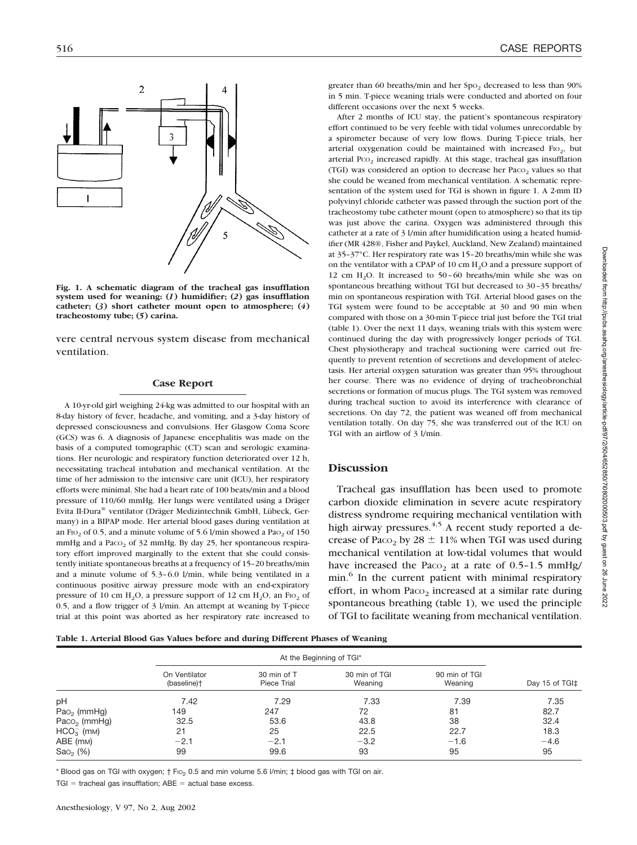

**Fig. 1. A schematic diagram of the tracheal gas insufflation system used for weaning: (***1***) humidifier; (***2***) gas insufflation catheter; (***3***) short catheter mount open to atmosphere; (***4***) tracheostomy tube; (***5***) carina.**

vere central nervous system disease from mechanical ventilation.

## **Case Report**

A 10-yr-old girl weighing 24-kg was admitted to our hospital with an 8-day history of fever, headache, and vomiting, and a 3-day history of depressed consciousness and convulsions. Her Glasgow Coma Score (GCS) was 6. A diagnosis of Japanese encephalitis was made on the basis of a computed tomographic (CT) scan and serologic examinations. Her neurologic and respiratory function deteriorated over 12 h, necessitating tracheal intubation and mechanical ventilation. At the time of her admission to the intensive care unit (ICU), her respiratory efforts were minimal. She had a heart rate of 100 beats/min and a blood pressure of 110/60 mmHg. Her lungs were ventilated using a Dräger Evita II-Dura® ventilator (Dräger Medizintechnik GmbH, Lübeck, Germany) in a BIPAP mode. Her arterial blood gases during ventilation at an F<sub>IO<sub>2</sub></sub> of 0.5, and a minute volume of 5.6 l/min showed a Pa<sub>O<sub>2</sub></sub> of 150 mmHg and a Pa $\cos_2$  of 32 mmHg. By day 25, her spontaneous respiratory effort improved marginally to the extent that she could consistently initiate spontaneous breaths at a frequency of 15–20 breaths/min and a minute volume of 5.3–6.0 l/min, while being ventilated in a continuous positive airway pressure mode with an end-expiratory pressure of 10 cm  $H_2O$ , a pressure support of 12 cm  $H_2O$ , an FIO<sub>2</sub> of 0.5, and a flow trigger of 3 l/min. An attempt at weaning by T-piece trial at this point was aborted as her respiratory rate increased to greater than 60 breaths/min and her Spo<sub>2</sub> decreased to less than 90% in 5 min. T-piece weaning trials were conducted and aborted on four different occasions over the next 5 weeks.

After 2 months of ICU stay, the patient's spontaneous respiratory effort continued to be very feeble with tidal volumes unrecordable by a spirometer because of very low flows. During T-piece trials, her arterial oxygenation could be maintained with increased  $FIO<sub>2</sub>$ , but arterial Pco<sub>2</sub> increased rapidly. At this stage, tracheal gas insufflation (TGI) was considered an option to decrease her  $P_{ACO<sub>2</sub>}$  values so that she could be weaned from mechanical ventilation. A schematic representation of the system used for TGI is shown in figure 1. A 2-mm ID polyvinyl chloride catheter was passed through the suction port of the tracheostomy tube catheter mount (open to atmosphere) so that its tip was just above the carina. Oxygen was administered through this catheter at a rate of 3 l/min after humidification using a heated humidifier (MR 428®, Fisher and Paykel, Auckland, New Zealand) maintained at 35–37°C. Her respiratory rate was 15–20 breaths/min while she was on the ventilator with a CPAP of 10 cm  $H<sub>2</sub>O$  and a pressure support of 12 cm H<sub>2</sub>O. It increased to  $50-60$  breaths/min while she was on spontaneous breathing without TGI but decreased to 30–35 breaths/ min on spontaneous respiration with TGI. Arterial blood gases on the TGI system were found to be acceptable at 30 and 90 min when compared with those on a 30-min T-piece trial just before the TGI trial (table 1). Over the next 11 days, weaning trials with this system were continued during the day with progressively longer periods of TGI. Chest physiotherapy and tracheal suctioning were carried out frequently to prevent retention of secretions and development of atelectasis. Her arterial oxygen saturation was greater than 95% throughout her course. There was no evidence of drying of tracheobronchial secretions or formation of mucus plugs. The TGI system was removed during tracheal suction to avoid its interference with clearance of secretions. On day 72, the patient was weaned off from mechanical ventilation totally. On day 75, she was transferred out of the ICU on TGI with an airflow of 3 l/min.

# **Discussion**

Tracheal gas insufflation has been used to promote carbon dioxide elimination in severe acute respiratory distress syndrome requiring mechanical ventilation with high airway pressures. $4.5$  A recent study reported a decrease of Paco<sub>2</sub> by 28  $\pm$  11% when TGI was used during mechanical ventilation at low-tidal volumes that would have increased the Paco<sub>2</sub> at a rate of  $0.5-1.5$  mmHg/ min.<sup>6</sup> In the current patient with minimal respiratory effort, in whom Paco<sub>2</sub> increased at a similar rate during spontaneous breathing (table 1), we used the principle of TGI to facilitate weaning from mechanical ventilation.

|  |  |  |  | Table 1. Arterial Blood Gas Values before and during Different Phases of Weaning |
|--|--|--|--|----------------------------------------------------------------------------------|
|  |  |  |  |                                                                                  |

|                          | On Ventilator<br>(baseline) <sup>+</sup> | 30 min of T<br>Piece Trial | 30 min of TGI<br>Weaning | 90 min of TGI<br>Weaning | Day 15 of TGI‡ |
|--------------------------|------------------------------------------|----------------------------|--------------------------|--------------------------|----------------|
| pH                       | 7.42                                     | 7.29                       | 7.33                     | 7.39                     | 7.35           |
| $PaO2$ (mmHg)            | 149                                      | 247                        | 72                       | 81                       | 82.7           |
| Paco <sub>2</sub> (mmHg) | 32.5                                     | 53.6                       | 43.8                     | 38                       | 32.4           |
| $HCO3-$ (mm)             | 21                                       | 25                         | 22.5                     | 22.7                     | 18.3           |
| ABE (mm)                 | $-2.1$                                   | $-2.1$                     | $-3.2$                   | $-1.6$                   | $-4.6$         |
| $Sao2$ (%)               | 99                                       | 99.6                       | 93                       | 95                       | 95             |

\* Blood gas on TGI with oxygen; † FIO2 0.5 and min volume 5.6 l/min; ‡ blood gas with TGI on air.

 $TGI =$  tracheal gas insufflation;  $ABE =$  actual base excess.